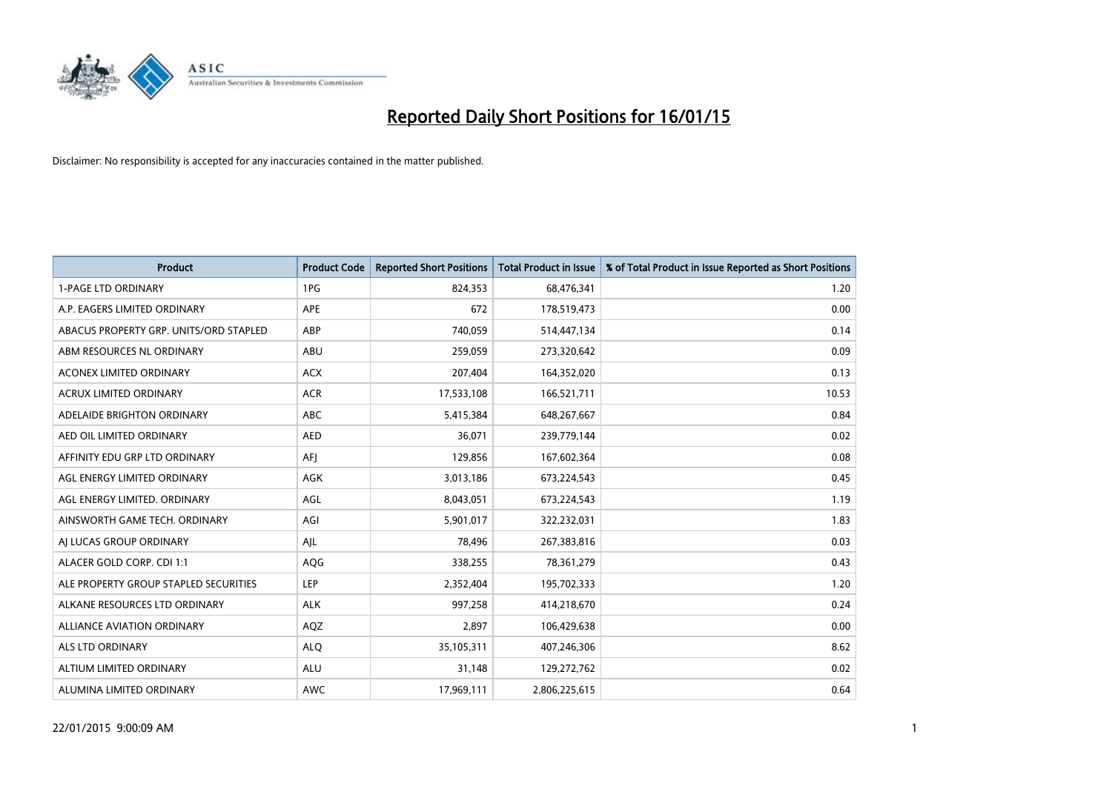

| <b>Product</b>                         | <b>Product Code</b> | <b>Reported Short Positions</b> | <b>Total Product in Issue</b> | % of Total Product in Issue Reported as Short Positions |
|----------------------------------------|---------------------|---------------------------------|-------------------------------|---------------------------------------------------------|
| <b>1-PAGE LTD ORDINARY</b>             | 1PG                 | 824,353                         | 68,476,341                    | 1.20                                                    |
| A.P. EAGERS LIMITED ORDINARY           | APE                 | 672                             | 178,519,473                   | 0.00                                                    |
| ABACUS PROPERTY GRP. UNITS/ORD STAPLED | ABP                 | 740,059                         | 514,447,134                   | 0.14                                                    |
| ABM RESOURCES NL ORDINARY              | ABU                 | 259,059                         | 273,320,642                   | 0.09                                                    |
| <b>ACONEX LIMITED ORDINARY</b>         | <b>ACX</b>          | 207,404                         | 164,352,020                   | 0.13                                                    |
| <b>ACRUX LIMITED ORDINARY</b>          | <b>ACR</b>          | 17,533,108                      | 166,521,711                   | 10.53                                                   |
| ADELAIDE BRIGHTON ORDINARY             | ABC                 | 5,415,384                       | 648,267,667                   | 0.84                                                    |
| AED OIL LIMITED ORDINARY               | <b>AED</b>          | 36,071                          | 239,779,144                   | 0.02                                                    |
| AFFINITY EDU GRP LTD ORDINARY          | AFI                 | 129,856                         | 167,602,364                   | 0.08                                                    |
| AGL ENERGY LIMITED ORDINARY            | AGK                 | 3,013,186                       | 673,224,543                   | 0.45                                                    |
| AGL ENERGY LIMITED. ORDINARY           | AGL                 | 8,043,051                       | 673,224,543                   | 1.19                                                    |
| AINSWORTH GAME TECH. ORDINARY          | AGI                 | 5,901,017                       | 322,232,031                   | 1.83                                                    |
| AI LUCAS GROUP ORDINARY                | AJL                 | 78,496                          | 267,383,816                   | 0.03                                                    |
| ALACER GOLD CORP. CDI 1:1              | AQG                 | 338,255                         | 78,361,279                    | 0.43                                                    |
| ALE PROPERTY GROUP STAPLED SECURITIES  | LEP                 | 2,352,404                       | 195,702,333                   | 1.20                                                    |
| ALKANE RESOURCES LTD ORDINARY          | <b>ALK</b>          | 997,258                         | 414,218,670                   | 0.24                                                    |
| ALLIANCE AVIATION ORDINARY             | AQZ                 | 2,897                           | 106,429,638                   | 0.00                                                    |
| <b>ALS LTD ORDINARY</b>                | <b>ALQ</b>          | 35,105,311                      | 407,246,306                   | 8.62                                                    |
| ALTIUM LIMITED ORDINARY                | <b>ALU</b>          | 31,148                          | 129,272,762                   | 0.02                                                    |
| ALUMINA LIMITED ORDINARY               | <b>AWC</b>          | 17,969,111                      | 2,806,225,615                 | 0.64                                                    |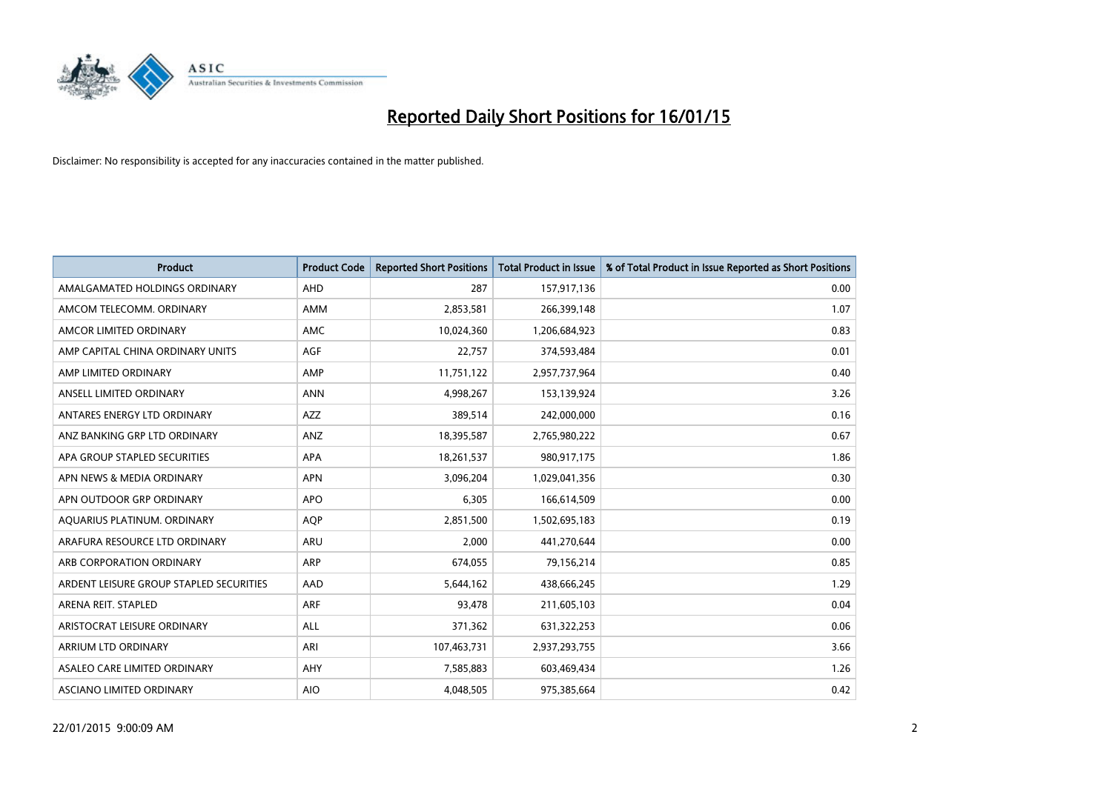

| <b>Product</b>                          | <b>Product Code</b> | <b>Reported Short Positions</b> | <b>Total Product in Issue</b> | % of Total Product in Issue Reported as Short Positions |
|-----------------------------------------|---------------------|---------------------------------|-------------------------------|---------------------------------------------------------|
| AMALGAMATED HOLDINGS ORDINARY           | <b>AHD</b>          | 287                             | 157,917,136                   | 0.00                                                    |
| AMCOM TELECOMM. ORDINARY                | AMM                 | 2,853,581                       | 266,399,148                   | 1.07                                                    |
| AMCOR LIMITED ORDINARY                  | <b>AMC</b>          | 10,024,360                      | 1,206,684,923                 | 0.83                                                    |
| AMP CAPITAL CHINA ORDINARY UNITS        | AGF                 | 22,757                          | 374,593,484                   | 0.01                                                    |
| AMP LIMITED ORDINARY                    | AMP                 | 11,751,122                      | 2,957,737,964                 | 0.40                                                    |
| ANSELL LIMITED ORDINARY                 | <b>ANN</b>          | 4,998,267                       | 153,139,924                   | 3.26                                                    |
| ANTARES ENERGY LTD ORDINARY             | AZZ                 | 389,514                         | 242,000,000                   | 0.16                                                    |
| ANZ BANKING GRP LTD ORDINARY            | ANZ                 | 18,395,587                      | 2,765,980,222                 | 0.67                                                    |
| APA GROUP STAPLED SECURITIES            | <b>APA</b>          | 18,261,537                      | 980,917,175                   | 1.86                                                    |
| APN NEWS & MEDIA ORDINARY               | <b>APN</b>          | 3,096,204                       | 1,029,041,356                 | 0.30                                                    |
| APN OUTDOOR GRP ORDINARY                | <b>APO</b>          | 6,305                           | 166,614,509                   | 0.00                                                    |
| AQUARIUS PLATINUM. ORDINARY             | <b>AOP</b>          | 2,851,500                       | 1,502,695,183                 | 0.19                                                    |
| ARAFURA RESOURCE LTD ORDINARY           | ARU                 | 2,000                           | 441,270,644                   | 0.00                                                    |
| ARB CORPORATION ORDINARY                | ARP                 | 674,055                         | 79,156,214                    | 0.85                                                    |
| ARDENT LEISURE GROUP STAPLED SECURITIES | AAD                 | 5,644,162                       | 438,666,245                   | 1.29                                                    |
| ARENA REIT. STAPLED                     | ARF                 | 93,478                          | 211,605,103                   | 0.04                                                    |
| ARISTOCRAT LEISURE ORDINARY             | ALL                 | 371,362                         | 631,322,253                   | 0.06                                                    |
| ARRIUM LTD ORDINARY                     | ARI                 | 107,463,731                     | 2,937,293,755                 | 3.66                                                    |
| ASALEO CARE LIMITED ORDINARY            | AHY                 | 7,585,883                       | 603,469,434                   | 1.26                                                    |
| ASCIANO LIMITED ORDINARY                | <b>AIO</b>          | 4,048,505                       | 975,385,664                   | 0.42                                                    |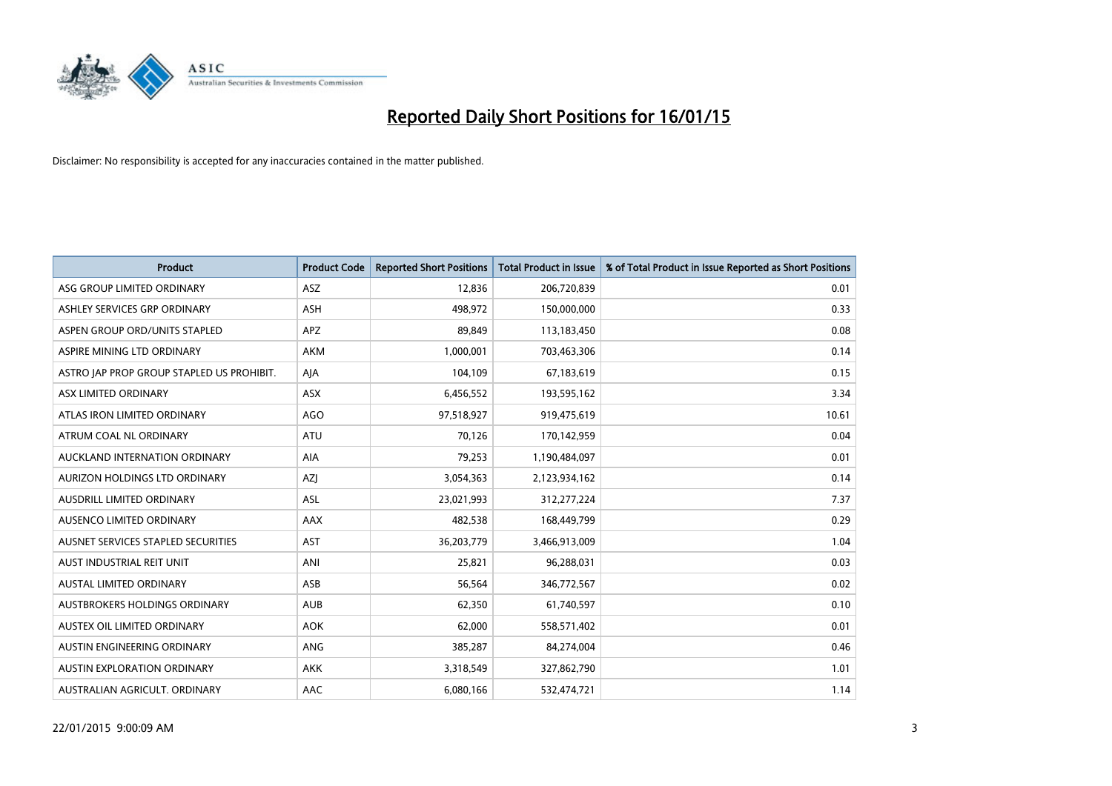

| <b>Product</b>                            | <b>Product Code</b> | <b>Reported Short Positions</b> | <b>Total Product in Issue</b> | % of Total Product in Issue Reported as Short Positions |
|-------------------------------------------|---------------------|---------------------------------|-------------------------------|---------------------------------------------------------|
| ASG GROUP LIMITED ORDINARY                | ASZ                 | 12,836                          | 206,720,839                   | 0.01                                                    |
| ASHLEY SERVICES GRP ORDINARY              | ASH                 | 498,972                         | 150,000,000                   | 0.33                                                    |
| ASPEN GROUP ORD/UNITS STAPLED             | <b>APZ</b>          | 89,849                          | 113,183,450                   | 0.08                                                    |
| ASPIRE MINING LTD ORDINARY                | <b>AKM</b>          | 1,000,001                       | 703,463,306                   | 0.14                                                    |
| ASTRO JAP PROP GROUP STAPLED US PROHIBIT. | AJA                 | 104,109                         | 67,183,619                    | 0.15                                                    |
| ASX LIMITED ORDINARY                      | ASX                 | 6,456,552                       | 193,595,162                   | 3.34                                                    |
| ATLAS IRON LIMITED ORDINARY               | <b>AGO</b>          | 97,518,927                      | 919,475,619                   | 10.61                                                   |
| ATRUM COAL NL ORDINARY                    | ATU                 | 70,126                          | 170,142,959                   | 0.04                                                    |
| AUCKLAND INTERNATION ORDINARY             | AIA                 | 79,253                          | 1,190,484,097                 | 0.01                                                    |
| AURIZON HOLDINGS LTD ORDINARY             | <b>AZI</b>          | 3,054,363                       | 2,123,934,162                 | 0.14                                                    |
| AUSDRILL LIMITED ORDINARY                 | ASL                 | 23,021,993                      | 312,277,224                   | 7.37                                                    |
| AUSENCO LIMITED ORDINARY                  | AAX                 | 482,538                         | 168,449,799                   | 0.29                                                    |
| AUSNET SERVICES STAPLED SECURITIES        | <b>AST</b>          | 36,203,779                      | 3,466,913,009                 | 1.04                                                    |
| AUST INDUSTRIAL REIT UNIT                 | ANI                 | 25,821                          | 96,288,031                    | 0.03                                                    |
| <b>AUSTAL LIMITED ORDINARY</b>            | ASB                 | 56,564                          | 346,772,567                   | 0.02                                                    |
| AUSTBROKERS HOLDINGS ORDINARY             | <b>AUB</b>          | 62,350                          | 61,740,597                    | 0.10                                                    |
| AUSTEX OIL LIMITED ORDINARY               | <b>AOK</b>          | 62,000                          | 558,571,402                   | 0.01                                                    |
| AUSTIN ENGINEERING ORDINARY               | <b>ANG</b>          | 385,287                         | 84,274,004                    | 0.46                                                    |
| <b>AUSTIN EXPLORATION ORDINARY</b>        | <b>AKK</b>          | 3,318,549                       | 327,862,790                   | 1.01                                                    |
| AUSTRALIAN AGRICULT. ORDINARY             | AAC                 | 6,080,166                       | 532,474,721                   | 1.14                                                    |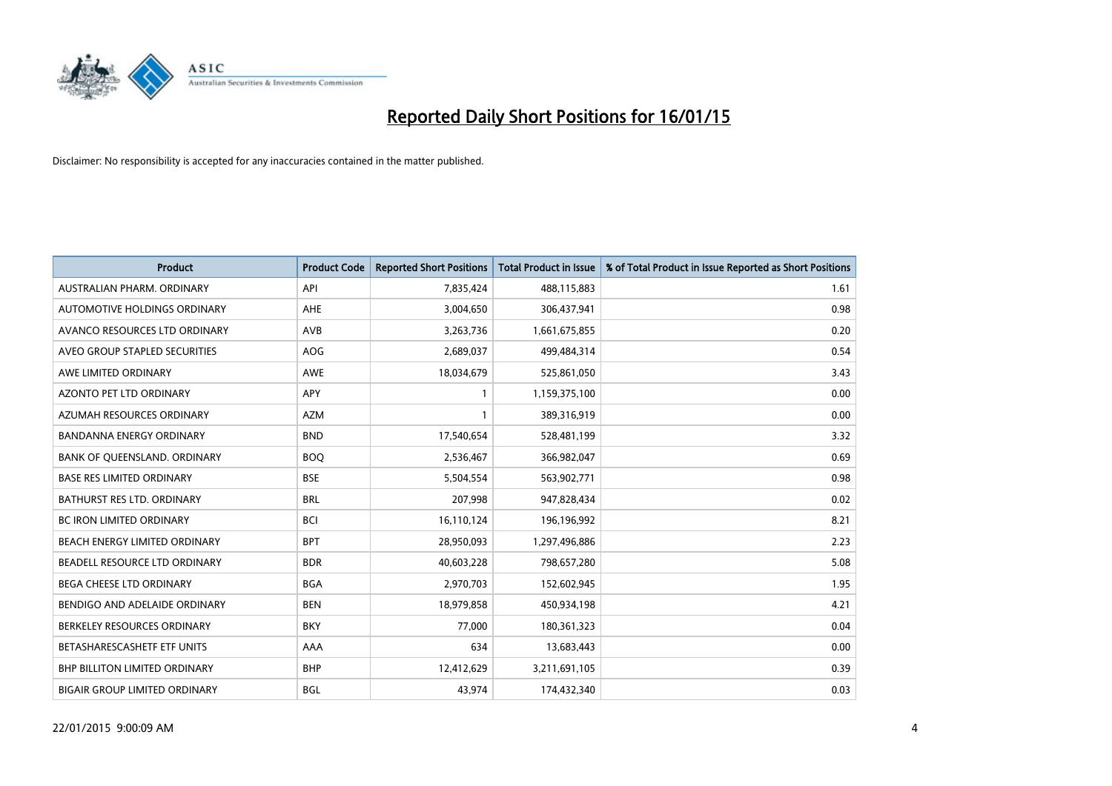

| <b>Product</b>                       | <b>Product Code</b> | <b>Reported Short Positions</b> | <b>Total Product in Issue</b> | % of Total Product in Issue Reported as Short Positions |
|--------------------------------------|---------------------|---------------------------------|-------------------------------|---------------------------------------------------------|
| AUSTRALIAN PHARM, ORDINARY           | API                 | 7,835,424                       | 488,115,883                   | 1.61                                                    |
| AUTOMOTIVE HOLDINGS ORDINARY         | AHE                 | 3,004,650                       | 306,437,941                   | 0.98                                                    |
| AVANCO RESOURCES LTD ORDINARY        | AVB                 | 3,263,736                       | 1,661,675,855                 | 0.20                                                    |
| AVEO GROUP STAPLED SECURITIES        | AOG                 | 2,689,037                       | 499,484,314                   | 0.54                                                    |
| AWE LIMITED ORDINARY                 | <b>AWE</b>          | 18,034,679                      | 525,861,050                   | 3.43                                                    |
| <b>AZONTO PET LTD ORDINARY</b>       | <b>APY</b>          | $\mathbf{1}$                    | 1,159,375,100                 | 0.00                                                    |
| AZUMAH RESOURCES ORDINARY            | <b>AZM</b>          | $\mathbf{1}$                    | 389,316,919                   | 0.00                                                    |
| BANDANNA ENERGY ORDINARY             | <b>BND</b>          | 17,540,654                      | 528,481,199                   | 3.32                                                    |
| BANK OF QUEENSLAND. ORDINARY         | <b>BOQ</b>          | 2,536,467                       | 366,982,047                   | 0.69                                                    |
| <b>BASE RES LIMITED ORDINARY</b>     | <b>BSE</b>          | 5,504,554                       | 563,902,771                   | 0.98                                                    |
| BATHURST RES LTD. ORDINARY           | <b>BRL</b>          | 207,998                         | 947,828,434                   | 0.02                                                    |
| <b>BC IRON LIMITED ORDINARY</b>      | <b>BCI</b>          | 16,110,124                      | 196,196,992                   | 8.21                                                    |
| BEACH ENERGY LIMITED ORDINARY        | <b>BPT</b>          | 28,950,093                      | 1,297,496,886                 | 2.23                                                    |
| BEADELL RESOURCE LTD ORDINARY        | <b>BDR</b>          | 40,603,228                      | 798,657,280                   | 5.08                                                    |
| <b>BEGA CHEESE LTD ORDINARY</b>      | <b>BGA</b>          | 2,970,703                       | 152,602,945                   | 1.95                                                    |
| BENDIGO AND ADELAIDE ORDINARY        | <b>BEN</b>          | 18,979,858                      | 450,934,198                   | 4.21                                                    |
| BERKELEY RESOURCES ORDINARY          | <b>BKY</b>          | 77,000                          | 180,361,323                   | 0.04                                                    |
| BETASHARESCASHETF ETF UNITS          | AAA                 | 634                             | 13,683,443                    | 0.00                                                    |
| <b>BHP BILLITON LIMITED ORDINARY</b> | <b>BHP</b>          | 12,412,629                      | 3,211,691,105                 | 0.39                                                    |
| <b>BIGAIR GROUP LIMITED ORDINARY</b> | BGL                 | 43,974                          | 174,432,340                   | 0.03                                                    |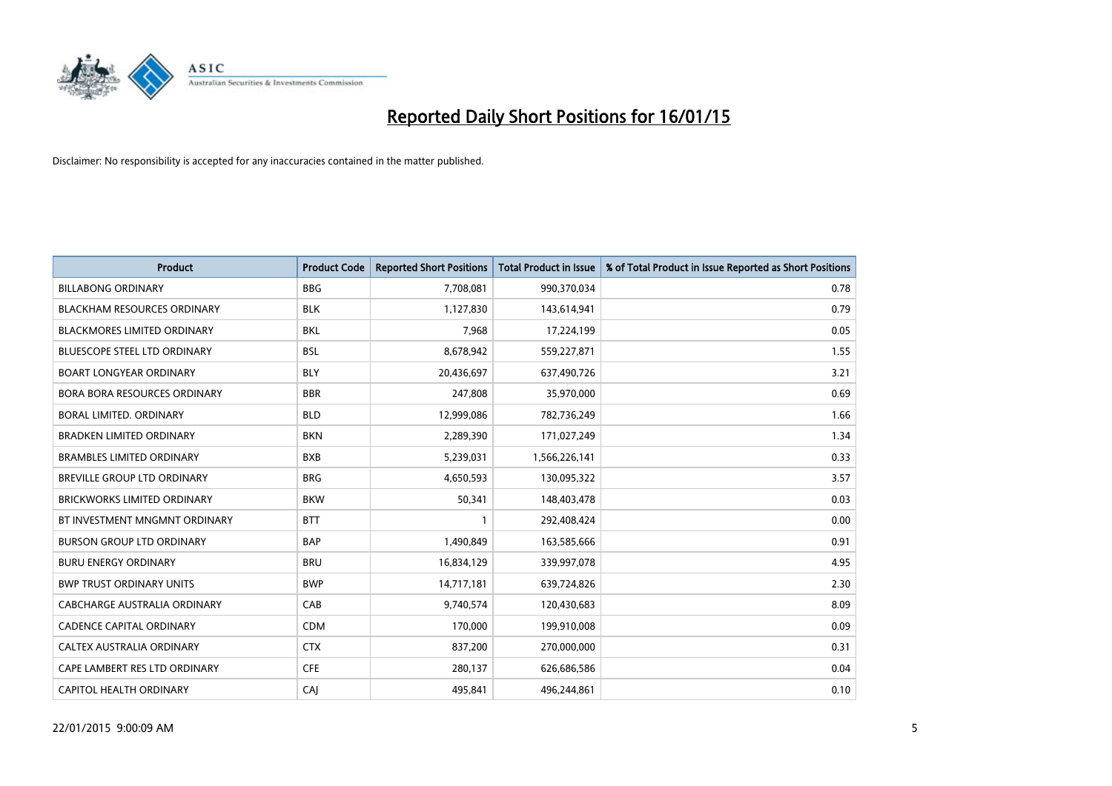

| <b>Product</b>                      | <b>Product Code</b> | <b>Reported Short Positions</b> | <b>Total Product in Issue</b> | % of Total Product in Issue Reported as Short Positions |
|-------------------------------------|---------------------|---------------------------------|-------------------------------|---------------------------------------------------------|
| <b>BILLABONG ORDINARY</b>           | <b>BBG</b>          | 7,708,081                       | 990,370,034                   | 0.78                                                    |
| <b>BLACKHAM RESOURCES ORDINARY</b>  | <b>BLK</b>          | 1,127,830                       | 143,614,941                   | 0.79                                                    |
| <b>BLACKMORES LIMITED ORDINARY</b>  | <b>BKL</b>          | 7,968                           | 17,224,199                    | 0.05                                                    |
| BLUESCOPE STEEL LTD ORDINARY        | <b>BSL</b>          | 8,678,942                       | 559,227,871                   | 1.55                                                    |
| <b>BOART LONGYEAR ORDINARY</b>      | <b>BLY</b>          | 20,436,697                      | 637,490,726                   | 3.21                                                    |
| <b>BORA BORA RESOURCES ORDINARY</b> | <b>BBR</b>          | 247,808                         | 35,970,000                    | 0.69                                                    |
| BORAL LIMITED, ORDINARY             | <b>BLD</b>          | 12,999,086                      | 782,736,249                   | 1.66                                                    |
| <b>BRADKEN LIMITED ORDINARY</b>     | <b>BKN</b>          | 2,289,390                       | 171,027,249                   | 1.34                                                    |
| <b>BRAMBLES LIMITED ORDINARY</b>    | <b>BXB</b>          | 5,239,031                       | 1,566,226,141                 | 0.33                                                    |
| <b>BREVILLE GROUP LTD ORDINARY</b>  | <b>BRG</b>          | 4,650,593                       | 130,095,322                   | 3.57                                                    |
| <b>BRICKWORKS LIMITED ORDINARY</b>  | <b>BKW</b>          | 50,341                          | 148,403,478                   | 0.03                                                    |
| BT INVESTMENT MNGMNT ORDINARY       | <b>BTT</b>          | $\mathbf{1}$                    | 292,408,424                   | 0.00                                                    |
| <b>BURSON GROUP LTD ORDINARY</b>    | <b>BAP</b>          | 1,490,849                       | 163,585,666                   | 0.91                                                    |
| <b>BURU ENERGY ORDINARY</b>         | <b>BRU</b>          | 16,834,129                      | 339,997,078                   | 4.95                                                    |
| <b>BWP TRUST ORDINARY UNITS</b>     | <b>BWP</b>          | 14,717,181                      | 639,724,826                   | 2.30                                                    |
| CABCHARGE AUSTRALIA ORDINARY        | CAB                 | 9,740,574                       | 120,430,683                   | 8.09                                                    |
| <b>CADENCE CAPITAL ORDINARY</b>     | <b>CDM</b>          | 170,000                         | 199,910,008                   | 0.09                                                    |
| CALTEX AUSTRALIA ORDINARY           | <b>CTX</b>          | 837,200                         | 270,000,000                   | 0.31                                                    |
| CAPE LAMBERT RES LTD ORDINARY       | <b>CFE</b>          | 280,137                         | 626,686,586                   | 0.04                                                    |
| CAPITOL HEALTH ORDINARY             | CAJ                 | 495,841                         | 496,244,861                   | 0.10                                                    |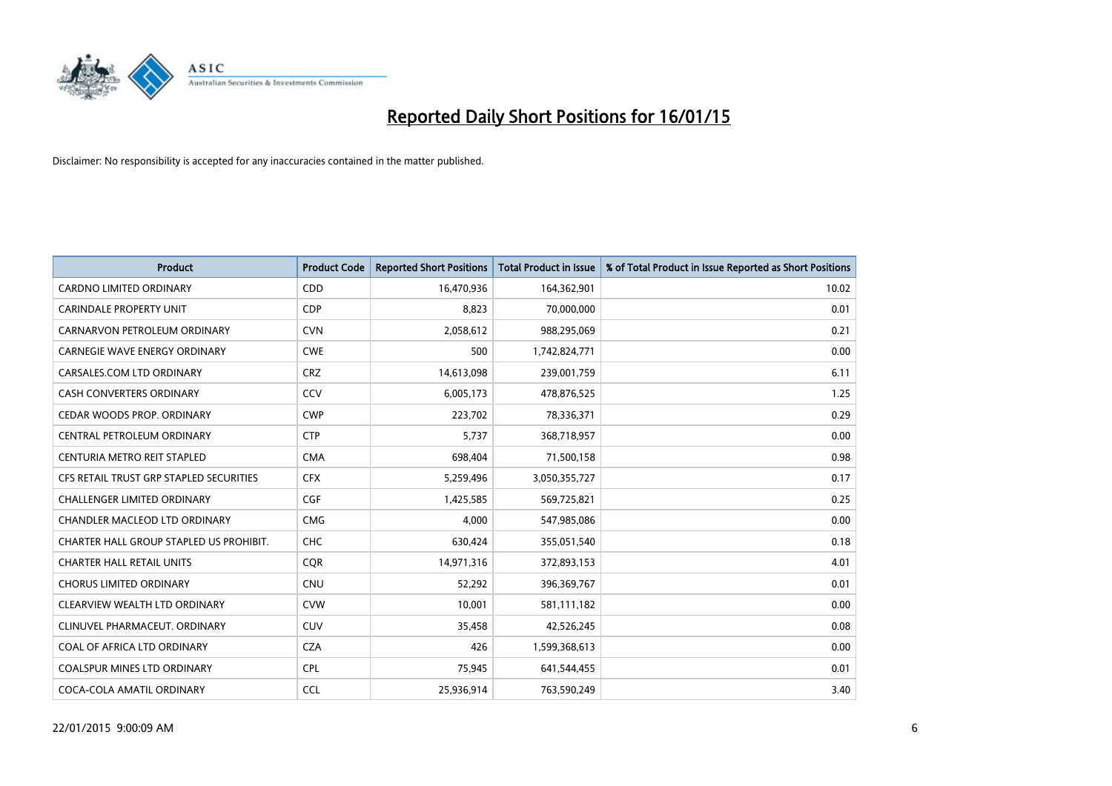

| <b>Product</b>                          | <b>Product Code</b> | <b>Reported Short Positions</b> | <b>Total Product in Issue</b> | % of Total Product in Issue Reported as Short Positions |
|-----------------------------------------|---------------------|---------------------------------|-------------------------------|---------------------------------------------------------|
| <b>CARDNO LIMITED ORDINARY</b>          | CDD                 | 16,470,936                      | 164,362,901                   | 10.02                                                   |
| <b>CARINDALE PROPERTY UNIT</b>          | <b>CDP</b>          | 8,823                           | 70,000,000                    | 0.01                                                    |
| CARNARVON PETROLEUM ORDINARY            | <b>CVN</b>          | 2,058,612                       | 988,295,069                   | 0.21                                                    |
| CARNEGIE WAVE ENERGY ORDINARY           | <b>CWE</b>          | 500                             | 1,742,824,771                 | 0.00                                                    |
| CARSALES.COM LTD ORDINARY               | <b>CRZ</b>          | 14,613,098                      | 239,001,759                   | 6.11                                                    |
| <b>CASH CONVERTERS ORDINARY</b>         | CCV                 | 6,005,173                       | 478,876,525                   | 1.25                                                    |
| CEDAR WOODS PROP. ORDINARY              | <b>CWP</b>          | 223,702                         | 78,336,371                    | 0.29                                                    |
| CENTRAL PETROLEUM ORDINARY              | <b>CTP</b>          | 5.737                           | 368,718,957                   | 0.00                                                    |
| CENTURIA METRO REIT STAPLED             | <b>CMA</b>          | 698,404                         | 71,500,158                    | 0.98                                                    |
| CFS RETAIL TRUST GRP STAPLED SECURITIES | <b>CFX</b>          | 5,259,496                       | 3,050,355,727                 | 0.17                                                    |
| <b>CHALLENGER LIMITED ORDINARY</b>      | <b>CGF</b>          | 1,425,585                       | 569,725,821                   | 0.25                                                    |
| CHANDLER MACLEOD LTD ORDINARY           | <b>CMG</b>          | 4,000                           | 547,985,086                   | 0.00                                                    |
| CHARTER HALL GROUP STAPLED US PROHIBIT. | <b>CHC</b>          | 630,424                         | 355,051,540                   | 0.18                                                    |
| <b>CHARTER HALL RETAIL UNITS</b>        | <b>COR</b>          | 14,971,316                      | 372,893,153                   | 4.01                                                    |
| <b>CHORUS LIMITED ORDINARY</b>          | CNU                 | 52,292                          | 396,369,767                   | 0.01                                                    |
| CLEARVIEW WEALTH LTD ORDINARY           | <b>CVW</b>          | 10,001                          | 581,111,182                   | 0.00                                                    |
| CLINUVEL PHARMACEUT. ORDINARY           | <b>CUV</b>          | 35,458                          | 42,526,245                    | 0.08                                                    |
| COAL OF AFRICA LTD ORDINARY             | <b>CZA</b>          | 426                             | 1,599,368,613                 | 0.00                                                    |
| <b>COALSPUR MINES LTD ORDINARY</b>      | <b>CPL</b>          | 75,945                          | 641,544,455                   | 0.01                                                    |
| COCA-COLA AMATIL ORDINARY               | <b>CCL</b>          | 25,936,914                      | 763,590,249                   | 3.40                                                    |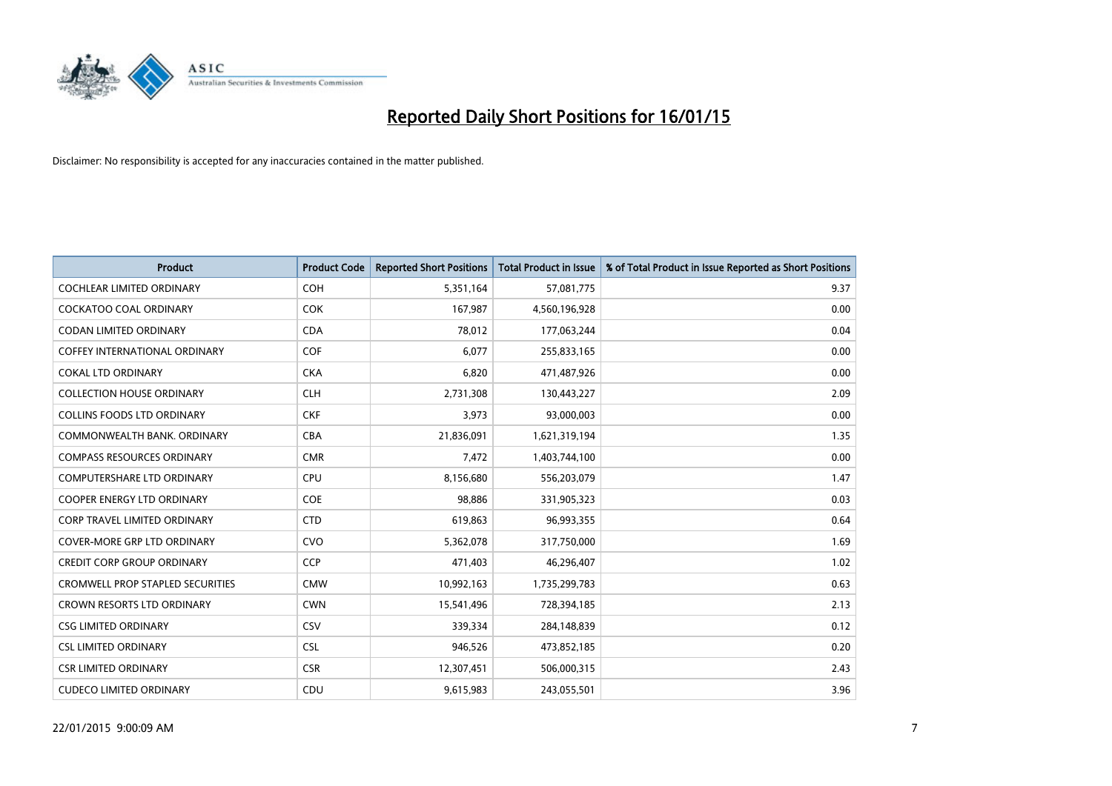

| <b>Product</b>                          | <b>Product Code</b> | <b>Reported Short Positions</b> | <b>Total Product in Issue</b> | % of Total Product in Issue Reported as Short Positions |
|-----------------------------------------|---------------------|---------------------------------|-------------------------------|---------------------------------------------------------|
| <b>COCHLEAR LIMITED ORDINARY</b>        | <b>COH</b>          | 5,351,164                       | 57,081,775                    | 9.37                                                    |
| COCKATOO COAL ORDINARY                  | <b>COK</b>          | 167,987                         | 4,560,196,928                 | 0.00                                                    |
| <b>CODAN LIMITED ORDINARY</b>           | <b>CDA</b>          | 78,012                          | 177,063,244                   | 0.04                                                    |
| <b>COFFEY INTERNATIONAL ORDINARY</b>    | <b>COF</b>          | 6,077                           | 255,833,165                   | 0.00                                                    |
| <b>COKAL LTD ORDINARY</b>               | <b>CKA</b>          | 6,820                           | 471,487,926                   | 0.00                                                    |
| <b>COLLECTION HOUSE ORDINARY</b>        | <b>CLH</b>          | 2,731,308                       | 130,443,227                   | 2.09                                                    |
| <b>COLLINS FOODS LTD ORDINARY</b>       | <b>CKF</b>          | 3,973                           | 93,000,003                    | 0.00                                                    |
| COMMONWEALTH BANK, ORDINARY             | <b>CBA</b>          | 21,836,091                      | 1,621,319,194                 | 1.35                                                    |
| <b>COMPASS RESOURCES ORDINARY</b>       | <b>CMR</b>          | 7,472                           | 1,403,744,100                 | 0.00                                                    |
| <b>COMPUTERSHARE LTD ORDINARY</b>       | <b>CPU</b>          | 8,156,680                       | 556,203,079                   | 1.47                                                    |
| COOPER ENERGY LTD ORDINARY              | <b>COE</b>          | 98,886                          | 331,905,323                   | 0.03                                                    |
| <b>CORP TRAVEL LIMITED ORDINARY</b>     | <b>CTD</b>          | 619,863                         | 96,993,355                    | 0.64                                                    |
| <b>COVER-MORE GRP LTD ORDINARY</b>      | <b>CVO</b>          | 5,362,078                       | 317,750,000                   | 1.69                                                    |
| <b>CREDIT CORP GROUP ORDINARY</b>       | <b>CCP</b>          | 471,403                         | 46,296,407                    | 1.02                                                    |
| <b>CROMWELL PROP STAPLED SECURITIES</b> | <b>CMW</b>          | 10,992,163                      | 1,735,299,783                 | 0.63                                                    |
| CROWN RESORTS LTD ORDINARY              | <b>CWN</b>          | 15,541,496                      | 728,394,185                   | 2.13                                                    |
| <b>CSG LIMITED ORDINARY</b>             | <b>CSV</b>          | 339,334                         | 284,148,839                   | 0.12                                                    |
| <b>CSL LIMITED ORDINARY</b>             | <b>CSL</b>          | 946,526                         | 473,852,185                   | 0.20                                                    |
| <b>CSR LIMITED ORDINARY</b>             | <b>CSR</b>          | 12,307,451                      | 506,000,315                   | 2.43                                                    |
| <b>CUDECO LIMITED ORDINARY</b>          | CDU                 | 9,615,983                       | 243,055,501                   | 3.96                                                    |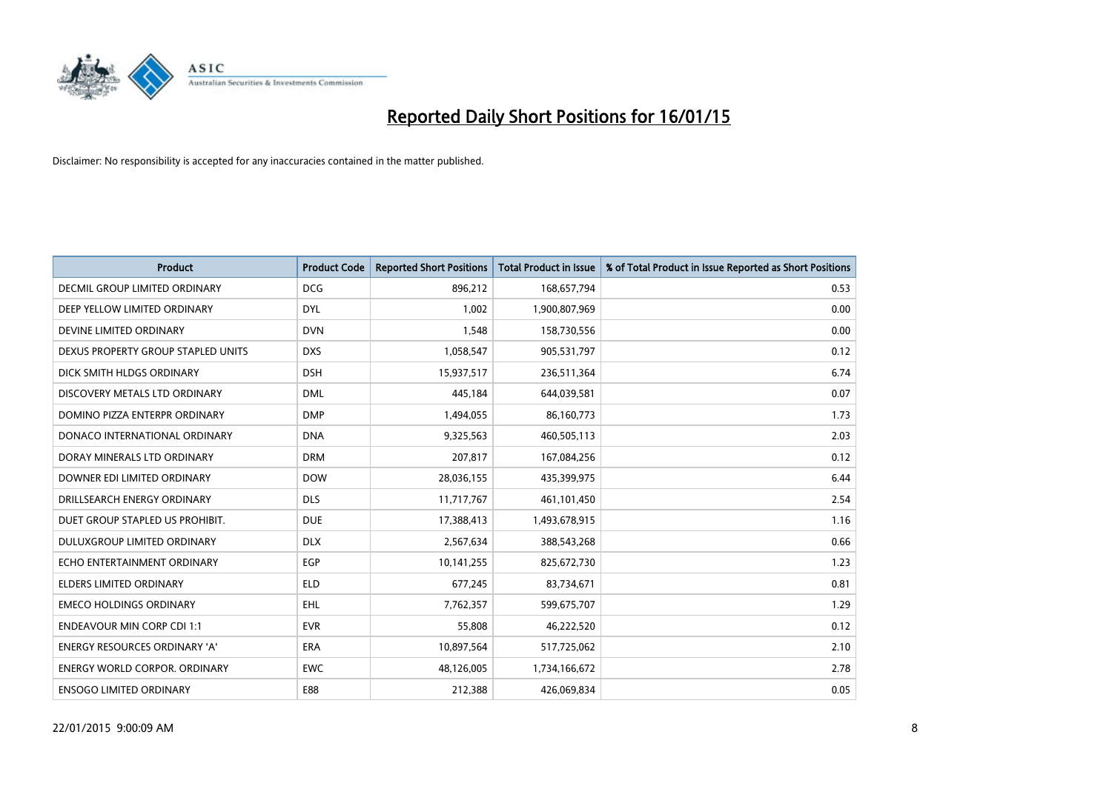

| <b>Product</b>                       | <b>Product Code</b> | <b>Reported Short Positions</b> | <b>Total Product in Issue</b> | % of Total Product in Issue Reported as Short Positions |
|--------------------------------------|---------------------|---------------------------------|-------------------------------|---------------------------------------------------------|
| DECMIL GROUP LIMITED ORDINARY        | <b>DCG</b>          | 896,212                         | 168,657,794                   | 0.53                                                    |
| DEEP YELLOW LIMITED ORDINARY         | <b>DYL</b>          | 1,002                           | 1,900,807,969                 | 0.00                                                    |
| DEVINE LIMITED ORDINARY              | <b>DVN</b>          | 1,548                           | 158,730,556                   | 0.00                                                    |
| DEXUS PROPERTY GROUP STAPLED UNITS   | <b>DXS</b>          | 1,058,547                       | 905,531,797                   | 0.12                                                    |
| DICK SMITH HLDGS ORDINARY            | <b>DSH</b>          | 15,937,517                      | 236,511,364                   | 6.74                                                    |
| DISCOVERY METALS LTD ORDINARY        | <b>DML</b>          | 445,184                         | 644,039,581                   | 0.07                                                    |
| DOMINO PIZZA ENTERPR ORDINARY        | <b>DMP</b>          | 1,494,055                       | 86,160,773                    | 1.73                                                    |
| DONACO INTERNATIONAL ORDINARY        | <b>DNA</b>          | 9,325,563                       | 460,505,113                   | 2.03                                                    |
| DORAY MINERALS LTD ORDINARY          | <b>DRM</b>          | 207,817                         | 167,084,256                   | 0.12                                                    |
| DOWNER EDI LIMITED ORDINARY          | <b>DOW</b>          | 28,036,155                      | 435,399,975                   | 6.44                                                    |
| DRILLSEARCH ENERGY ORDINARY          | <b>DLS</b>          | 11,717,767                      | 461,101,450                   | 2.54                                                    |
| DUET GROUP STAPLED US PROHIBIT.      | <b>DUE</b>          | 17,388,413                      | 1,493,678,915                 | 1.16                                                    |
| DULUXGROUP LIMITED ORDINARY          | <b>DLX</b>          | 2,567,634                       | 388,543,268                   | 0.66                                                    |
| ECHO ENTERTAINMENT ORDINARY          | <b>EGP</b>          | 10,141,255                      | 825,672,730                   | 1.23                                                    |
| <b>ELDERS LIMITED ORDINARY</b>       | <b>ELD</b>          | 677,245                         | 83,734,671                    | 0.81                                                    |
| <b>EMECO HOLDINGS ORDINARY</b>       | <b>EHL</b>          | 7,762,357                       | 599,675,707                   | 1.29                                                    |
| <b>ENDEAVOUR MIN CORP CDI 1:1</b>    | <b>EVR</b>          | 55,808                          | 46,222,520                    | 0.12                                                    |
| <b>ENERGY RESOURCES ORDINARY 'A'</b> | <b>ERA</b>          | 10,897,564                      | 517,725,062                   | 2.10                                                    |
| <b>ENERGY WORLD CORPOR, ORDINARY</b> | <b>EWC</b>          | 48,126,005                      | 1,734,166,672                 | 2.78                                                    |
| <b>ENSOGO LIMITED ORDINARY</b>       | E88                 | 212,388                         | 426,069,834                   | 0.05                                                    |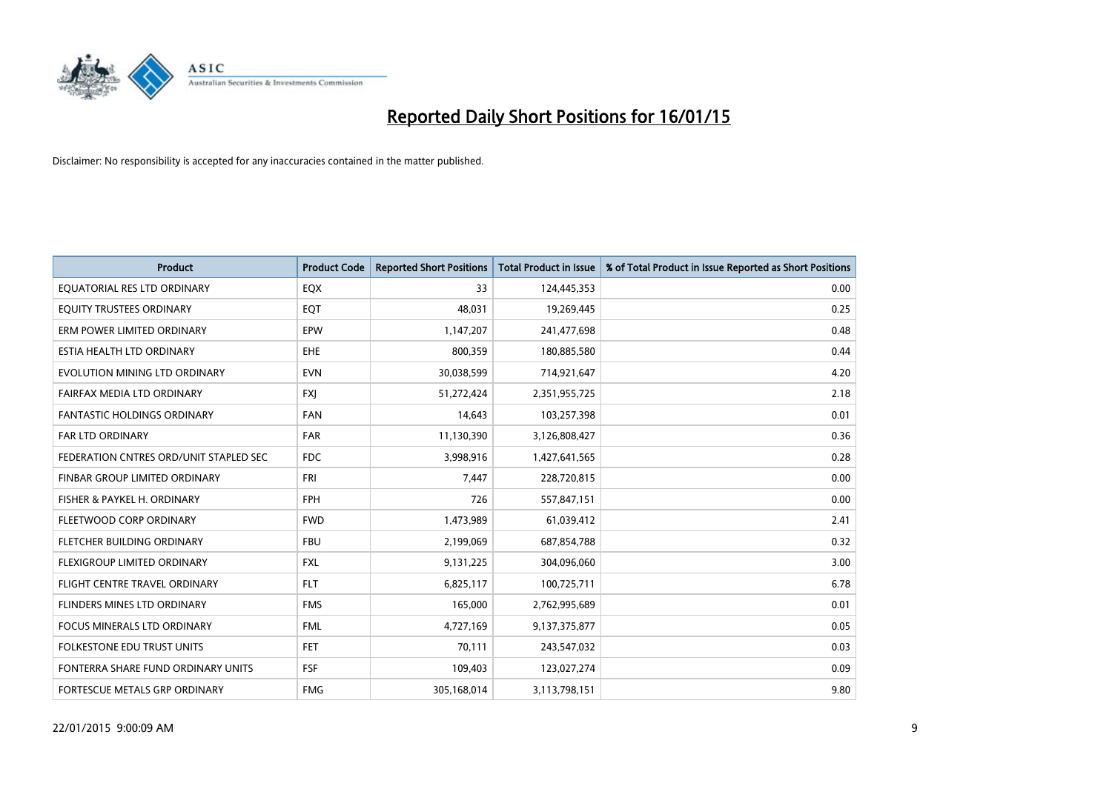

| <b>Product</b>                         | <b>Product Code</b> | <b>Reported Short Positions</b> | <b>Total Product in Issue</b> | % of Total Product in Issue Reported as Short Positions |
|----------------------------------------|---------------------|---------------------------------|-------------------------------|---------------------------------------------------------|
| EQUATORIAL RES LTD ORDINARY            | EQX                 | 33                              | 124,445,353                   | 0.00                                                    |
| EQUITY TRUSTEES ORDINARY               | EQT                 | 48,031                          | 19,269,445                    | 0.25                                                    |
| ERM POWER LIMITED ORDINARY             | EPW                 | 1,147,207                       | 241,477,698                   | 0.48                                                    |
| ESTIA HEALTH LTD ORDINARY              | <b>EHE</b>          | 800,359                         | 180,885,580                   | 0.44                                                    |
| EVOLUTION MINING LTD ORDINARY          | <b>EVN</b>          | 30,038,599                      | 714,921,647                   | 4.20                                                    |
| FAIRFAX MEDIA LTD ORDINARY             | <b>FXI</b>          | 51,272,424                      | 2,351,955,725                 | 2.18                                                    |
| <b>FANTASTIC HOLDINGS ORDINARY</b>     | <b>FAN</b>          | 14,643                          | 103,257,398                   | 0.01                                                    |
| FAR LTD ORDINARY                       | <b>FAR</b>          | 11,130,390                      | 3,126,808,427                 | 0.36                                                    |
| FEDERATION CNTRES ORD/UNIT STAPLED SEC | <b>FDC</b>          | 3,998,916                       | 1,427,641,565                 | 0.28                                                    |
| FINBAR GROUP LIMITED ORDINARY          | FRI                 | 7,447                           | 228,720,815                   | 0.00                                                    |
| FISHER & PAYKEL H. ORDINARY            | <b>FPH</b>          | 726                             | 557,847,151                   | 0.00                                                    |
| FLEETWOOD CORP ORDINARY                | <b>FWD</b>          | 1,473,989                       | 61,039,412                    | 2.41                                                    |
| FLETCHER BUILDING ORDINARY             | <b>FBU</b>          | 2,199,069                       | 687,854,788                   | 0.32                                                    |
| FLEXIGROUP LIMITED ORDINARY            | <b>FXL</b>          | 9,131,225                       | 304,096,060                   | 3.00                                                    |
| FLIGHT CENTRE TRAVEL ORDINARY          | <b>FLT</b>          | 6,825,117                       | 100,725,711                   | 6.78                                                    |
| FLINDERS MINES LTD ORDINARY            | <b>FMS</b>          | 165,000                         | 2,762,995,689                 | 0.01                                                    |
| FOCUS MINERALS LTD ORDINARY            | <b>FML</b>          | 4,727,169                       | 9,137,375,877                 | 0.05                                                    |
| FOLKESTONE EDU TRUST UNITS             | <b>FET</b>          | 70,111                          | 243,547,032                   | 0.03                                                    |
| FONTERRA SHARE FUND ORDINARY UNITS     | <b>FSF</b>          | 109,403                         | 123,027,274                   | 0.09                                                    |
| FORTESCUE METALS GRP ORDINARY          | <b>FMG</b>          | 305,168,014                     | 3,113,798,151                 | 9.80                                                    |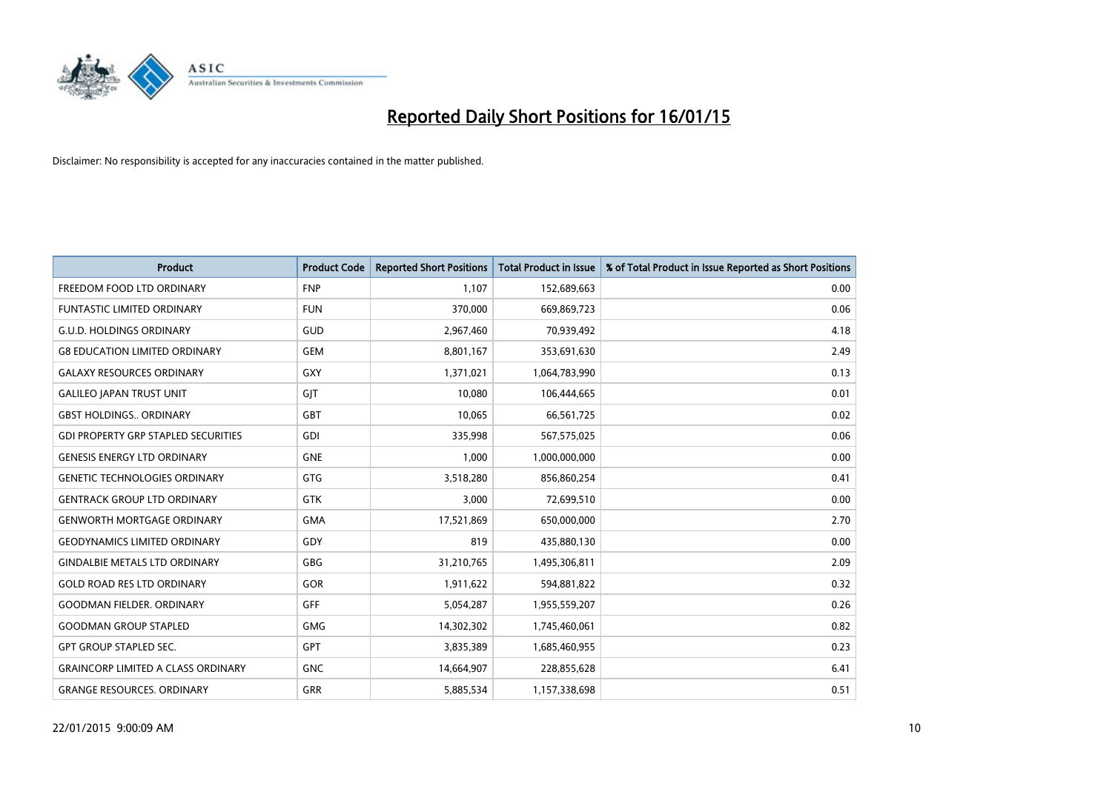

| <b>Product</b>                             | <b>Product Code</b> | <b>Reported Short Positions</b> | <b>Total Product in Issue</b> | % of Total Product in Issue Reported as Short Positions |
|--------------------------------------------|---------------------|---------------------------------|-------------------------------|---------------------------------------------------------|
| FREEDOM FOOD LTD ORDINARY                  | <b>FNP</b>          | 1,107                           | 152,689,663                   | 0.00                                                    |
| FUNTASTIC LIMITED ORDINARY                 | <b>FUN</b>          | 370,000                         | 669,869,723                   | 0.06                                                    |
| <b>G.U.D. HOLDINGS ORDINARY</b>            | GUD                 | 2,967,460                       | 70,939,492                    | 4.18                                                    |
| <b>G8 EDUCATION LIMITED ORDINARY</b>       | <b>GEM</b>          | 8,801,167                       | 353,691,630                   | 2.49                                                    |
| <b>GALAXY RESOURCES ORDINARY</b>           | GXY                 | 1,371,021                       | 1,064,783,990                 | 0.13                                                    |
| <b>GALILEO JAPAN TRUST UNIT</b>            | GIT                 | 10,080                          | 106,444,665                   | 0.01                                                    |
| <b>GBST HOLDINGS ORDINARY</b>              | GBT                 | 10,065                          | 66,561,725                    | 0.02                                                    |
| <b>GDI PROPERTY GRP STAPLED SECURITIES</b> | GDI                 | 335,998                         | 567,575,025                   | 0.06                                                    |
| <b>GENESIS ENERGY LTD ORDINARY</b>         | <b>GNE</b>          | 1,000                           | 1,000,000,000                 | 0.00                                                    |
| <b>GENETIC TECHNOLOGIES ORDINARY</b>       | GTG                 | 3,518,280                       | 856,860,254                   | 0.41                                                    |
| <b>GENTRACK GROUP LTD ORDINARY</b>         | GTK                 | 3,000                           | 72,699,510                    | 0.00                                                    |
| <b>GENWORTH MORTGAGE ORDINARY</b>          | <b>GMA</b>          | 17,521,869                      | 650,000,000                   | 2.70                                                    |
| <b>GEODYNAMICS LIMITED ORDINARY</b>        | GDY                 | 819                             | 435,880,130                   | 0.00                                                    |
| <b>GINDALBIE METALS LTD ORDINARY</b>       | GBG                 | 31,210,765                      | 1,495,306,811                 | 2.09                                                    |
| <b>GOLD ROAD RES LTD ORDINARY</b>          | GOR                 | 1,911,622                       | 594,881,822                   | 0.32                                                    |
| <b>GOODMAN FIELDER. ORDINARY</b>           | <b>GFF</b>          | 5,054,287                       | 1,955,559,207                 | 0.26                                                    |
| <b>GOODMAN GROUP STAPLED</b>               | GMG                 | 14,302,302                      | 1,745,460,061                 | 0.82                                                    |
| <b>GPT GROUP STAPLED SEC.</b>              | GPT                 | 3,835,389                       | 1,685,460,955                 | 0.23                                                    |
| <b>GRAINCORP LIMITED A CLASS ORDINARY</b>  | <b>GNC</b>          | 14,664,907                      | 228,855,628                   | 6.41                                                    |
| <b>GRANGE RESOURCES. ORDINARY</b>          | GRR                 | 5,885,534                       | 1,157,338,698                 | 0.51                                                    |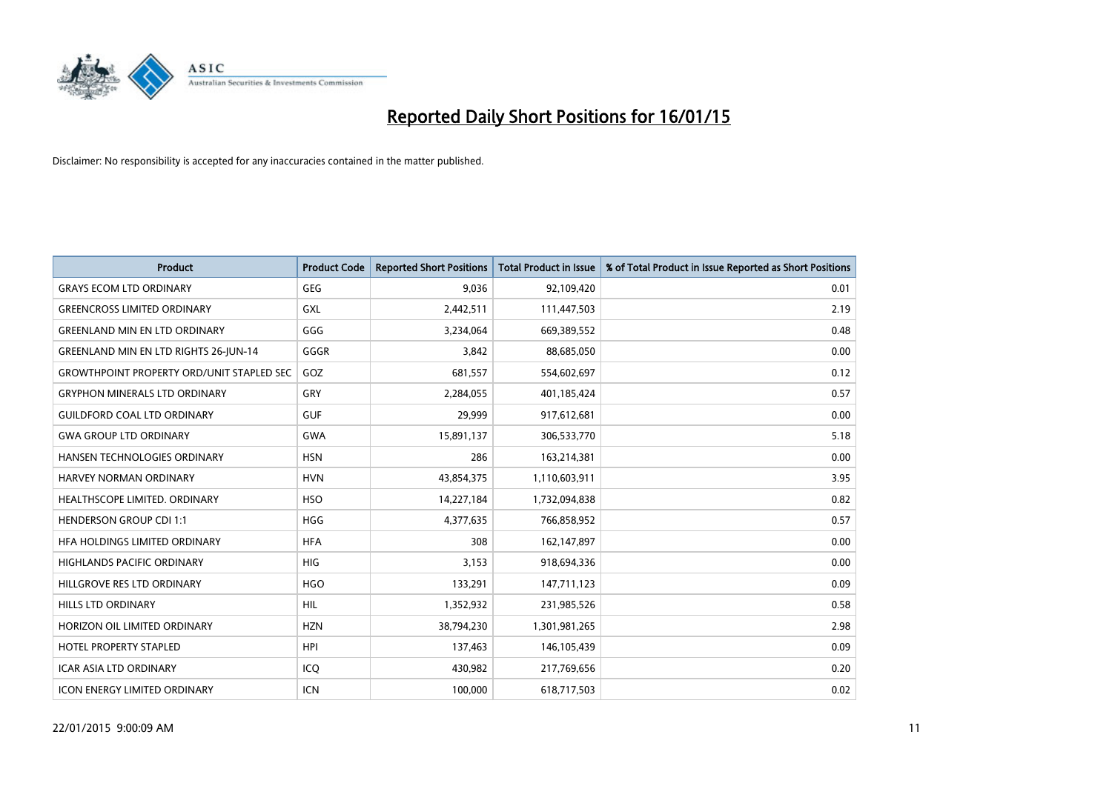

| <b>Product</b>                                   | <b>Product Code</b> | <b>Reported Short Positions</b> | <b>Total Product in Issue</b> | % of Total Product in Issue Reported as Short Positions |
|--------------------------------------------------|---------------------|---------------------------------|-------------------------------|---------------------------------------------------------|
| <b>GRAYS ECOM LTD ORDINARY</b>                   | <b>GEG</b>          | 9,036                           | 92,109,420                    | 0.01                                                    |
| <b>GREENCROSS LIMITED ORDINARY</b>               | GXL                 | 2,442,511                       | 111,447,503                   | 2.19                                                    |
| <b>GREENLAND MIN EN LTD ORDINARY</b>             | GGG                 | 3,234,064                       | 669,389,552                   | 0.48                                                    |
| GREENLAND MIN EN LTD RIGHTS 26-JUN-14            | GGGR                | 3,842                           | 88,685,050                    | 0.00                                                    |
| <b>GROWTHPOINT PROPERTY ORD/UNIT STAPLED SEC</b> | GOZ                 | 681,557                         | 554,602,697                   | 0.12                                                    |
| <b>GRYPHON MINERALS LTD ORDINARY</b>             | GRY                 | 2,284,055                       | 401,185,424                   | 0.57                                                    |
| <b>GUILDFORD COAL LTD ORDINARY</b>               | <b>GUF</b>          | 29,999                          | 917,612,681                   | 0.00                                                    |
| <b>GWA GROUP LTD ORDINARY</b>                    | <b>GWA</b>          | 15,891,137                      | 306,533,770                   | 5.18                                                    |
| HANSEN TECHNOLOGIES ORDINARY                     | <b>HSN</b>          | 286                             | 163,214,381                   | 0.00                                                    |
| <b>HARVEY NORMAN ORDINARY</b>                    | <b>HVN</b>          | 43,854,375                      | 1,110,603,911                 | 3.95                                                    |
| HEALTHSCOPE LIMITED. ORDINARY                    | <b>HSO</b>          | 14,227,184                      | 1,732,094,838                 | 0.82                                                    |
| <b>HENDERSON GROUP CDI 1:1</b>                   | <b>HGG</b>          | 4,377,635                       | 766,858,952                   | 0.57                                                    |
| HFA HOLDINGS LIMITED ORDINARY                    | <b>HFA</b>          | 308                             | 162,147,897                   | 0.00                                                    |
| HIGHLANDS PACIFIC ORDINARY                       | HIG                 | 3,153                           | 918,694,336                   | 0.00                                                    |
| HILLGROVE RES LTD ORDINARY                       | <b>HGO</b>          | 133,291                         | 147,711,123                   | 0.09                                                    |
| <b>HILLS LTD ORDINARY</b>                        | <b>HIL</b>          | 1,352,932                       | 231,985,526                   | 0.58                                                    |
| HORIZON OIL LIMITED ORDINARY                     | <b>HZN</b>          | 38,794,230                      | 1,301,981,265                 | 2.98                                                    |
| HOTEL PROPERTY STAPLED                           | <b>HPI</b>          | 137,463                         | 146,105,439                   | 0.09                                                    |
| <b>ICAR ASIA LTD ORDINARY</b>                    | ICO                 | 430,982                         | 217,769,656                   | 0.20                                                    |
| <b>ICON ENERGY LIMITED ORDINARY</b>              | <b>ICN</b>          | 100,000                         | 618,717,503                   | 0.02                                                    |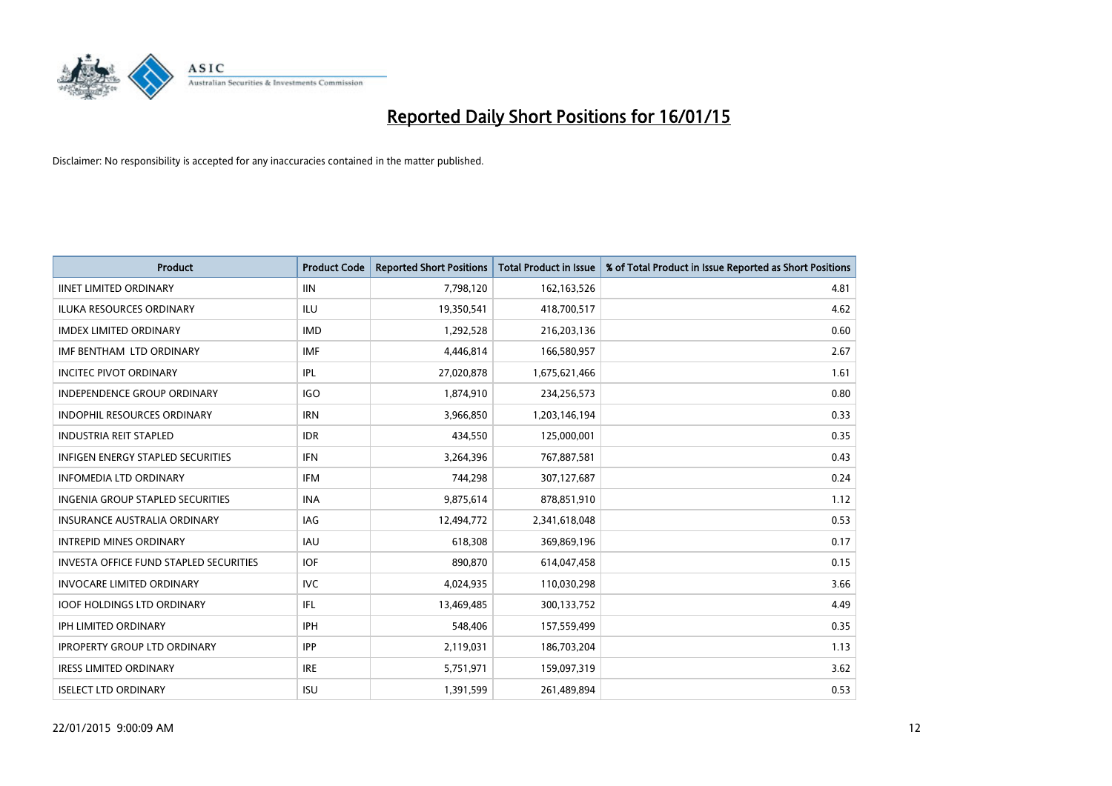

| <b>Product</b>                                | <b>Product Code</b> | <b>Reported Short Positions</b> | <b>Total Product in Issue</b> | % of Total Product in Issue Reported as Short Positions |
|-----------------------------------------------|---------------------|---------------------------------|-------------------------------|---------------------------------------------------------|
| <b>IINET LIMITED ORDINARY</b>                 | <b>IIN</b>          | 7,798,120                       | 162,163,526                   | 4.81                                                    |
| ILUKA RESOURCES ORDINARY                      | ILU                 | 19,350,541                      | 418,700,517                   | 4.62                                                    |
| <b>IMDEX LIMITED ORDINARY</b>                 | <b>IMD</b>          | 1,292,528                       | 216,203,136                   | 0.60                                                    |
| IMF BENTHAM LTD ORDINARY                      | <b>IMF</b>          | 4,446,814                       | 166,580,957                   | 2.67                                                    |
| <b>INCITEC PIVOT ORDINARY</b>                 | <b>IPL</b>          | 27,020,878                      | 1,675,621,466                 | 1.61                                                    |
| INDEPENDENCE GROUP ORDINARY                   | <b>IGO</b>          | 1,874,910                       | 234,256,573                   | 0.80                                                    |
| <b>INDOPHIL RESOURCES ORDINARY</b>            | <b>IRN</b>          | 3,966,850                       | 1,203,146,194                 | 0.33                                                    |
| <b>INDUSTRIA REIT STAPLED</b>                 | <b>IDR</b>          | 434,550                         | 125,000,001                   | 0.35                                                    |
| INFIGEN ENERGY STAPLED SECURITIES             | <b>IFN</b>          | 3,264,396                       | 767,887,581                   | 0.43                                                    |
| <b>INFOMEDIA LTD ORDINARY</b>                 | <b>IFM</b>          | 744,298                         | 307,127,687                   | 0.24                                                    |
| INGENIA GROUP STAPLED SECURITIES              | <b>INA</b>          | 9,875,614                       | 878,851,910                   | 1.12                                                    |
| <b>INSURANCE AUSTRALIA ORDINARY</b>           | <b>IAG</b>          | 12,494,772                      | 2,341,618,048                 | 0.53                                                    |
| <b>INTREPID MINES ORDINARY</b>                | <b>IAU</b>          | 618,308                         | 369,869,196                   | 0.17                                                    |
| <b>INVESTA OFFICE FUND STAPLED SECURITIES</b> | <b>IOF</b>          | 890,870                         | 614,047,458                   | 0.15                                                    |
| <b>INVOCARE LIMITED ORDINARY</b>              | <b>IVC</b>          | 4,024,935                       | 110,030,298                   | 3.66                                                    |
| <b>IOOF HOLDINGS LTD ORDINARY</b>             | IFL                 | 13,469,485                      | 300,133,752                   | 4.49                                                    |
| <b>IPH LIMITED ORDINARY</b>                   | <b>IPH</b>          | 548,406                         | 157,559,499                   | 0.35                                                    |
| <b>IPROPERTY GROUP LTD ORDINARY</b>           | <b>IPP</b>          | 2,119,031                       | 186,703,204                   | 1.13                                                    |
| <b>IRESS LIMITED ORDINARY</b>                 | <b>IRE</b>          | 5,751,971                       | 159,097,319                   | 3.62                                                    |
| <b>ISELECT LTD ORDINARY</b>                   | <b>ISU</b>          | 1,391,599                       | 261,489,894                   | 0.53                                                    |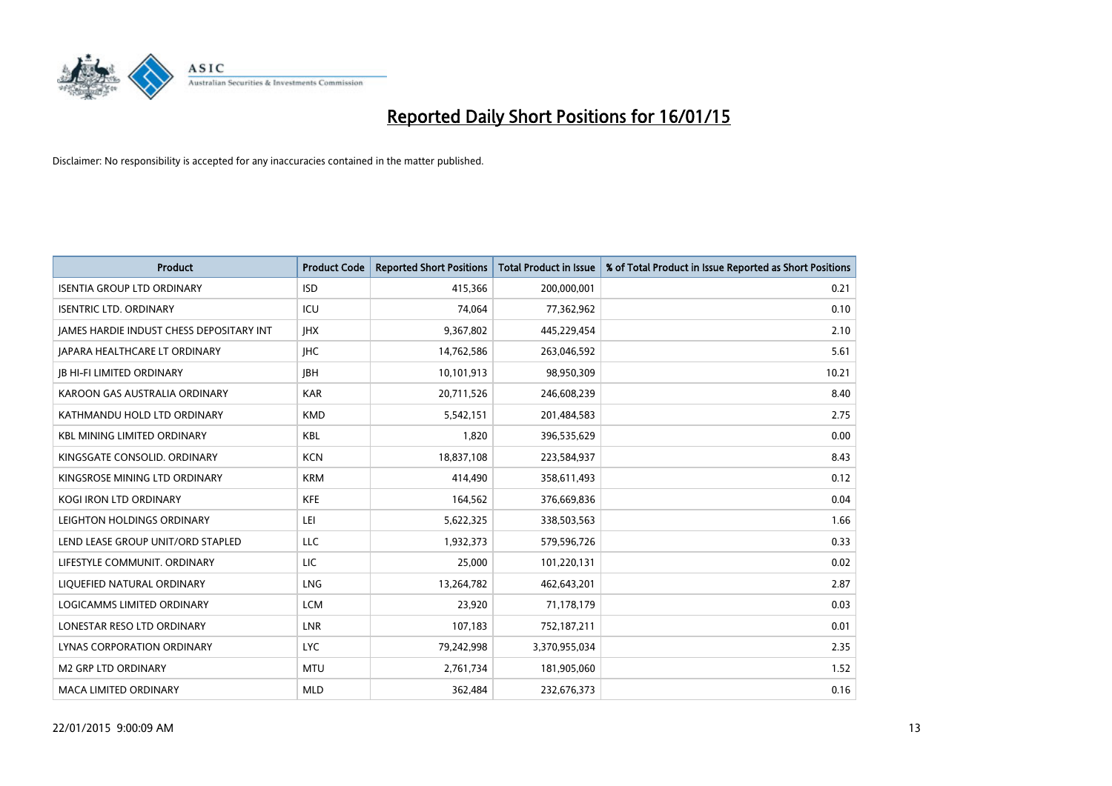

| <b>Product</b>                                  | <b>Product Code</b> | <b>Reported Short Positions</b> | <b>Total Product in Issue</b> | % of Total Product in Issue Reported as Short Positions |
|-------------------------------------------------|---------------------|---------------------------------|-------------------------------|---------------------------------------------------------|
| <b>ISENTIA GROUP LTD ORDINARY</b>               | <b>ISD</b>          | 415,366                         | 200,000,001                   | 0.21                                                    |
| <b>ISENTRIC LTD. ORDINARY</b>                   | ICU                 | 74,064                          | 77,362,962                    | 0.10                                                    |
| <b>JAMES HARDIE INDUST CHESS DEPOSITARY INT</b> | <b>IHX</b>          | 9,367,802                       | 445,229,454                   | 2.10                                                    |
| <b>JAPARA HEALTHCARE LT ORDINARY</b>            | <b>IHC</b>          | 14,762,586                      | 263,046,592                   | 5.61                                                    |
| <b>JB HI-FI LIMITED ORDINARY</b>                | <b>IBH</b>          | 10,101,913                      | 98,950,309                    | 10.21                                                   |
| KAROON GAS AUSTRALIA ORDINARY                   | <b>KAR</b>          | 20,711,526                      | 246,608,239                   | 8.40                                                    |
| KATHMANDU HOLD LTD ORDINARY                     | <b>KMD</b>          | 5,542,151                       | 201,484,583                   | 2.75                                                    |
| KBL MINING LIMITED ORDINARY                     | <b>KBL</b>          | 1,820                           | 396,535,629                   | 0.00                                                    |
| KINGSGATE CONSOLID, ORDINARY                    | <b>KCN</b>          | 18,837,108                      | 223,584,937                   | 8.43                                                    |
| KINGSROSE MINING LTD ORDINARY                   | <b>KRM</b>          | 414,490                         | 358,611,493                   | 0.12                                                    |
| KOGI IRON LTD ORDINARY                          | <b>KFE</b>          | 164,562                         | 376,669,836                   | 0.04                                                    |
| LEIGHTON HOLDINGS ORDINARY                      | LEI                 | 5,622,325                       | 338,503,563                   | 1.66                                                    |
| LEND LEASE GROUP UNIT/ORD STAPLED               | LLC                 | 1,932,373                       | 579,596,726                   | 0.33                                                    |
| LIFESTYLE COMMUNIT. ORDINARY                    | LIC                 | 25,000                          | 101,220,131                   | 0.02                                                    |
| LIQUEFIED NATURAL ORDINARY                      | <b>LNG</b>          | 13,264,782                      | 462,643,201                   | 2.87                                                    |
| LOGICAMMS LIMITED ORDINARY                      | <b>LCM</b>          | 23,920                          | 71,178,179                    | 0.03                                                    |
| LONESTAR RESO LTD ORDINARY                      | LNR                 | 107,183                         | 752,187,211                   | 0.01                                                    |
| LYNAS CORPORATION ORDINARY                      | <b>LYC</b>          | 79,242,998                      | 3,370,955,034                 | 2.35                                                    |
| <b>M2 GRP LTD ORDINARY</b>                      | <b>MTU</b>          | 2,761,734                       | 181,905,060                   | 1.52                                                    |
| MACA LIMITED ORDINARY                           | <b>MLD</b>          | 362,484                         | 232,676,373                   | 0.16                                                    |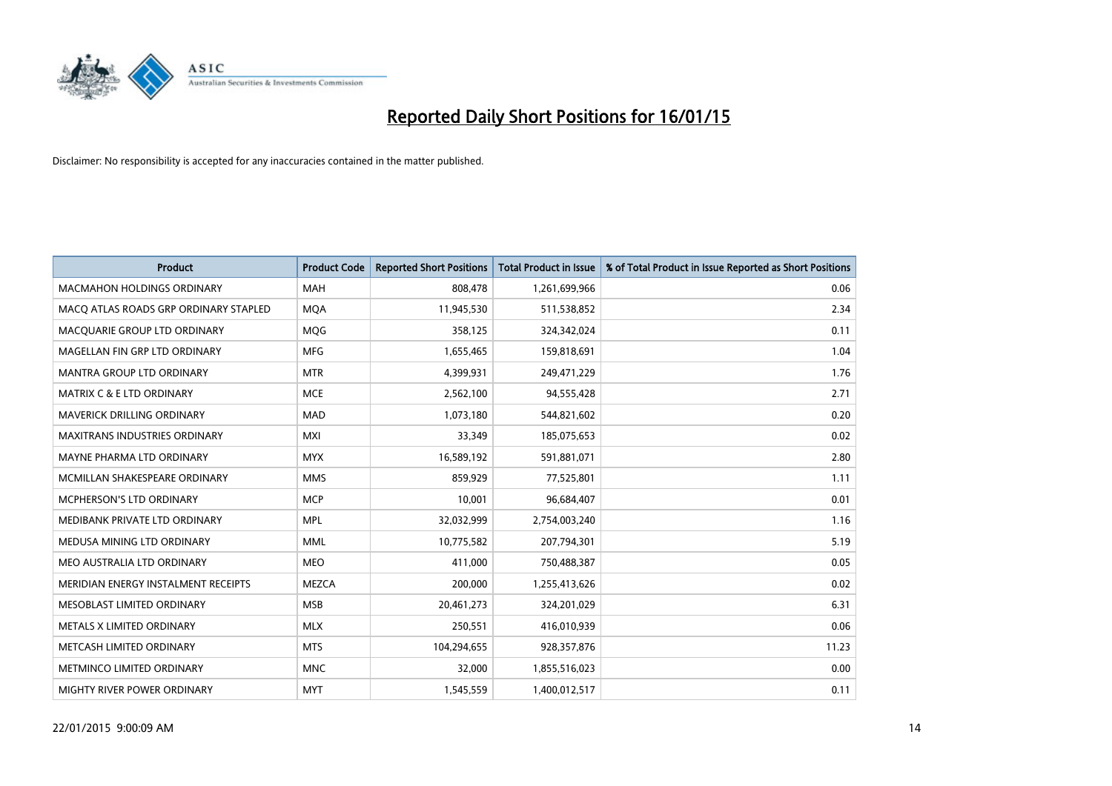

| <b>Product</b>                        | <b>Product Code</b> | <b>Reported Short Positions</b> | <b>Total Product in Issue</b> | % of Total Product in Issue Reported as Short Positions |
|---------------------------------------|---------------------|---------------------------------|-------------------------------|---------------------------------------------------------|
| <b>MACMAHON HOLDINGS ORDINARY</b>     | <b>MAH</b>          | 808,478                         | 1,261,699,966                 | 0.06                                                    |
| MACO ATLAS ROADS GRP ORDINARY STAPLED | <b>MQA</b>          | 11,945,530                      | 511,538,852                   | 2.34                                                    |
| MACQUARIE GROUP LTD ORDINARY          | <b>MOG</b>          | 358,125                         | 324,342,024                   | 0.11                                                    |
| MAGELLAN FIN GRP LTD ORDINARY         | <b>MFG</b>          | 1,655,465                       | 159,818,691                   | 1.04                                                    |
| <b>MANTRA GROUP LTD ORDINARY</b>      | <b>MTR</b>          | 4,399,931                       | 249,471,229                   | 1.76                                                    |
| <b>MATRIX C &amp; E LTD ORDINARY</b>  | <b>MCE</b>          | 2,562,100                       | 94,555,428                    | 2.71                                                    |
| <b>MAVERICK DRILLING ORDINARY</b>     | <b>MAD</b>          | 1,073,180                       | 544,821,602                   | 0.20                                                    |
| MAXITRANS INDUSTRIES ORDINARY         | <b>MXI</b>          | 33,349                          | 185,075,653                   | 0.02                                                    |
| MAYNE PHARMA LTD ORDINARY             | <b>MYX</b>          | 16,589,192                      | 591,881,071                   | 2.80                                                    |
| MCMILLAN SHAKESPEARE ORDINARY         | <b>MMS</b>          | 859,929                         | 77,525,801                    | 1.11                                                    |
| MCPHERSON'S LTD ORDINARY              | <b>MCP</b>          | 10,001                          | 96,684,407                    | 0.01                                                    |
| MEDIBANK PRIVATE LTD ORDINARY         | <b>MPL</b>          | 32,032,999                      | 2,754,003,240                 | 1.16                                                    |
| MEDUSA MINING LTD ORDINARY            | <b>MML</b>          | 10,775,582                      | 207,794,301                   | 5.19                                                    |
| MEO AUSTRALIA LTD ORDINARY            | <b>MEO</b>          | 411,000                         | 750,488,387                   | 0.05                                                    |
| MERIDIAN ENERGY INSTALMENT RECEIPTS   | <b>MEZCA</b>        | 200,000                         | 1,255,413,626                 | 0.02                                                    |
| MESOBLAST LIMITED ORDINARY            | <b>MSB</b>          | 20,461,273                      | 324,201,029                   | 6.31                                                    |
| METALS X LIMITED ORDINARY             | <b>MLX</b>          | 250,551                         | 416,010,939                   | 0.06                                                    |
| METCASH LIMITED ORDINARY              | <b>MTS</b>          | 104,294,655                     | 928,357,876                   | 11.23                                                   |
| METMINCO LIMITED ORDINARY             | <b>MNC</b>          | 32,000                          | 1,855,516,023                 | 0.00                                                    |
| MIGHTY RIVER POWER ORDINARY           | <b>MYT</b>          | 1,545,559                       | 1,400,012,517                 | 0.11                                                    |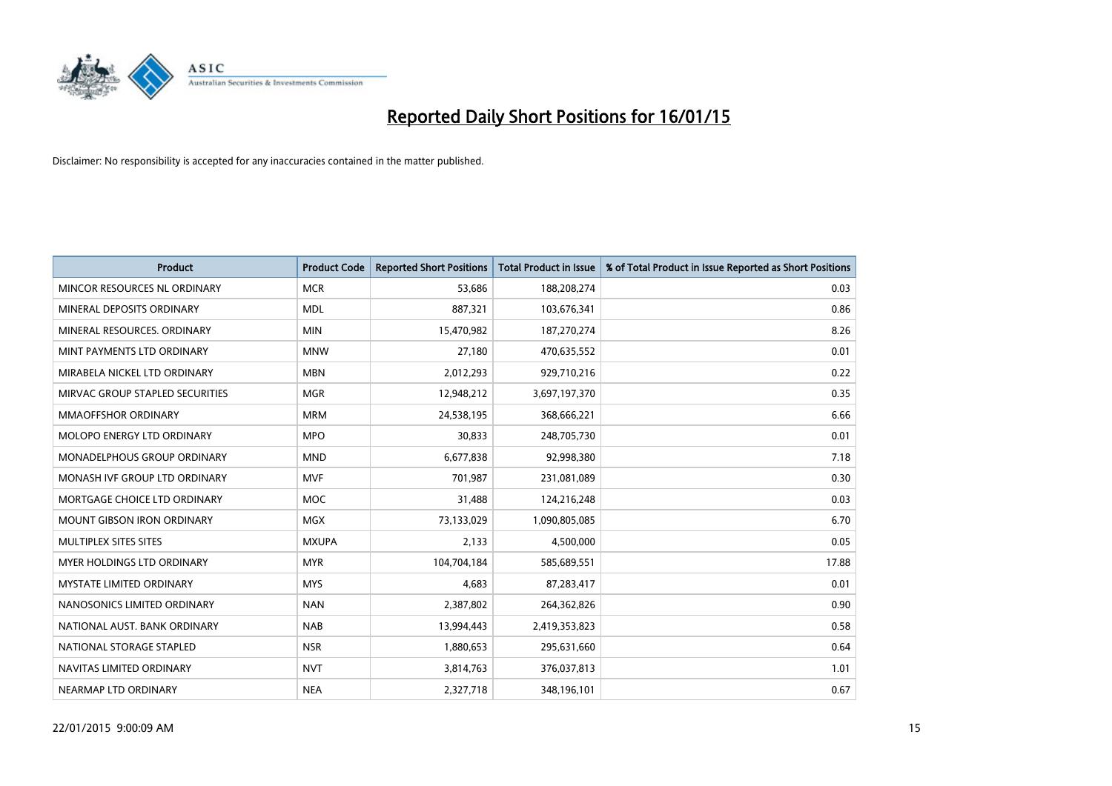

| <b>Product</b>                    | <b>Product Code</b> | <b>Reported Short Positions</b> | <b>Total Product in Issue</b> | % of Total Product in Issue Reported as Short Positions |
|-----------------------------------|---------------------|---------------------------------|-------------------------------|---------------------------------------------------------|
| MINCOR RESOURCES NL ORDINARY      | <b>MCR</b>          | 53,686                          | 188,208,274                   | 0.03                                                    |
| MINERAL DEPOSITS ORDINARY         | <b>MDL</b>          | 887,321                         | 103,676,341                   | 0.86                                                    |
| MINERAL RESOURCES. ORDINARY       | <b>MIN</b>          | 15,470,982                      | 187,270,274                   | 8.26                                                    |
| MINT PAYMENTS LTD ORDINARY        | <b>MNW</b>          | 27.180                          | 470,635,552                   | 0.01                                                    |
| MIRABELA NICKEL LTD ORDINARY      | <b>MBN</b>          | 2,012,293                       | 929,710,216                   | 0.22                                                    |
| MIRVAC GROUP STAPLED SECURITIES   | <b>MGR</b>          | 12,948,212                      | 3,697,197,370                 | 0.35                                                    |
| <b>MMAOFFSHOR ORDINARY</b>        | <b>MRM</b>          | 24,538,195                      | 368,666,221                   | 6.66                                                    |
| MOLOPO ENERGY LTD ORDINARY        | <b>MPO</b>          | 30,833                          | 248,705,730                   | 0.01                                                    |
| MONADELPHOUS GROUP ORDINARY       | <b>MND</b>          | 6,677,838                       | 92,998,380                    | 7.18                                                    |
| MONASH IVF GROUP LTD ORDINARY     | <b>MVF</b>          | 701,987                         | 231,081,089                   | 0.30                                                    |
| MORTGAGE CHOICE LTD ORDINARY      | <b>MOC</b>          | 31,488                          | 124,216,248                   | 0.03                                                    |
| <b>MOUNT GIBSON IRON ORDINARY</b> | MGX                 | 73,133,029                      | 1,090,805,085                 | 6.70                                                    |
| MULTIPLEX SITES SITES             | <b>MXUPA</b>        | 2,133                           | 4,500,000                     | 0.05                                                    |
| MYER HOLDINGS LTD ORDINARY        | <b>MYR</b>          | 104,704,184                     | 585,689,551                   | 17.88                                                   |
| <b>MYSTATE LIMITED ORDINARY</b>   | <b>MYS</b>          | 4,683                           | 87,283,417                    | 0.01                                                    |
| NANOSONICS LIMITED ORDINARY       | <b>NAN</b>          | 2,387,802                       | 264,362,826                   | 0.90                                                    |
| NATIONAL AUST. BANK ORDINARY      | <b>NAB</b>          | 13,994,443                      | 2,419,353,823                 | 0.58                                                    |
| NATIONAL STORAGE STAPLED          | <b>NSR</b>          | 1,880,653                       | 295,631,660                   | 0.64                                                    |
| NAVITAS LIMITED ORDINARY          | <b>NVT</b>          | 3,814,763                       | 376,037,813                   | 1.01                                                    |
| NEARMAP LTD ORDINARY              | <b>NEA</b>          | 2,327,718                       | 348,196,101                   | 0.67                                                    |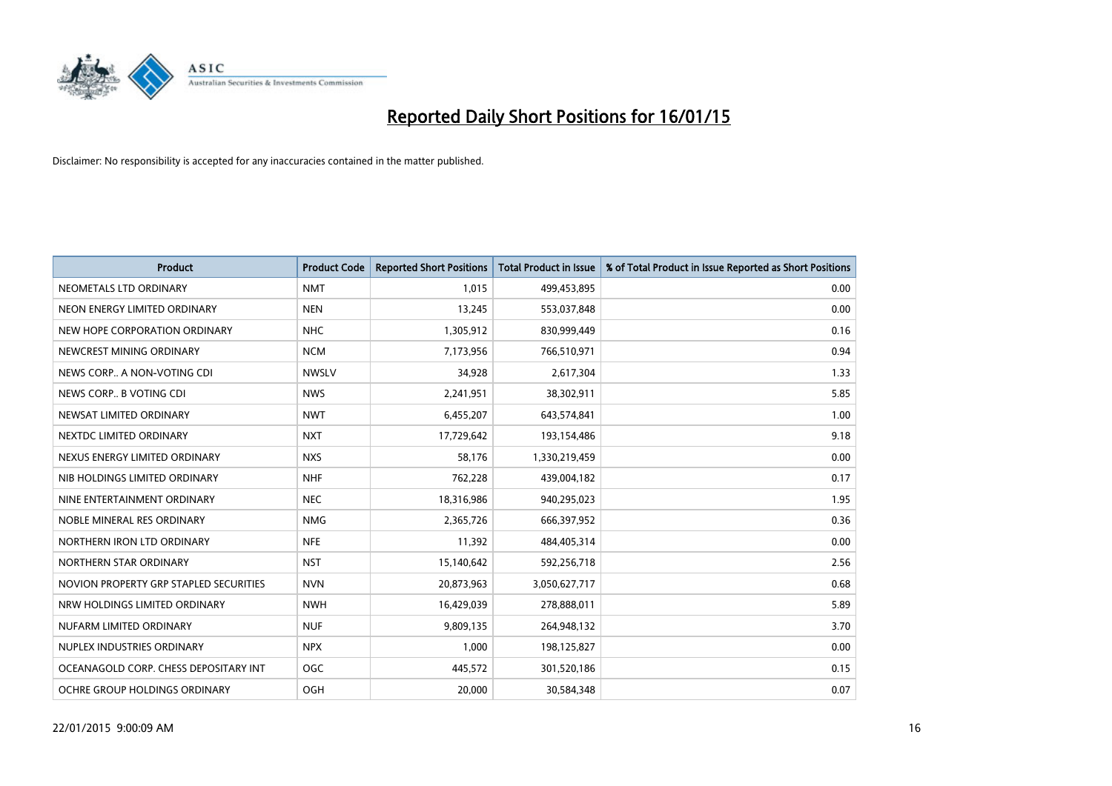

| <b>Product</b>                         | <b>Product Code</b> | <b>Reported Short Positions</b> | <b>Total Product in Issue</b> | % of Total Product in Issue Reported as Short Positions |
|----------------------------------------|---------------------|---------------------------------|-------------------------------|---------------------------------------------------------|
| NEOMETALS LTD ORDINARY                 | <b>NMT</b>          | 1,015                           | 499,453,895                   | 0.00                                                    |
| NEON ENERGY LIMITED ORDINARY           | <b>NEN</b>          | 13,245                          | 553,037,848                   | 0.00                                                    |
| NEW HOPE CORPORATION ORDINARY          | <b>NHC</b>          | 1,305,912                       | 830,999,449                   | 0.16                                                    |
| NEWCREST MINING ORDINARY               | <b>NCM</b>          | 7,173,956                       | 766,510,971                   | 0.94                                                    |
| NEWS CORP A NON-VOTING CDI             | <b>NWSLV</b>        | 34,928                          | 2,617,304                     | 1.33                                                    |
| NEWS CORP B VOTING CDI                 | <b>NWS</b>          | 2,241,951                       | 38,302,911                    | 5.85                                                    |
| NEWSAT LIMITED ORDINARY                | <b>NWT</b>          | 6,455,207                       | 643,574,841                   | 1.00                                                    |
| NEXTDC LIMITED ORDINARY                | <b>NXT</b>          | 17,729,642                      | 193,154,486                   | 9.18                                                    |
| NEXUS ENERGY LIMITED ORDINARY          | <b>NXS</b>          | 58,176                          | 1,330,219,459                 | 0.00                                                    |
| NIB HOLDINGS LIMITED ORDINARY          | <b>NHF</b>          | 762,228                         | 439,004,182                   | 0.17                                                    |
| NINE ENTERTAINMENT ORDINARY            | <b>NEC</b>          | 18,316,986                      | 940,295,023                   | 1.95                                                    |
| NOBLE MINERAL RES ORDINARY             | <b>NMG</b>          | 2,365,726                       | 666,397,952                   | 0.36                                                    |
| NORTHERN IRON LTD ORDINARY             | <b>NFE</b>          | 11,392                          | 484,405,314                   | 0.00                                                    |
| NORTHERN STAR ORDINARY                 | <b>NST</b>          | 15,140,642                      | 592,256,718                   | 2.56                                                    |
| NOVION PROPERTY GRP STAPLED SECURITIES | <b>NVN</b>          | 20,873,963                      | 3,050,627,717                 | 0.68                                                    |
| NRW HOLDINGS LIMITED ORDINARY          | <b>NWH</b>          | 16,429,039                      | 278,888,011                   | 5.89                                                    |
| NUFARM LIMITED ORDINARY                | <b>NUF</b>          | 9,809,135                       | 264,948,132                   | 3.70                                                    |
| NUPLEX INDUSTRIES ORDINARY             | <b>NPX</b>          | 1.000                           | 198,125,827                   | 0.00                                                    |
| OCEANAGOLD CORP. CHESS DEPOSITARY INT  | <b>OGC</b>          | 445,572                         | 301,520,186                   | 0.15                                                    |
| OCHRE GROUP HOLDINGS ORDINARY          | OGH                 | 20,000                          | 30,584,348                    | 0.07                                                    |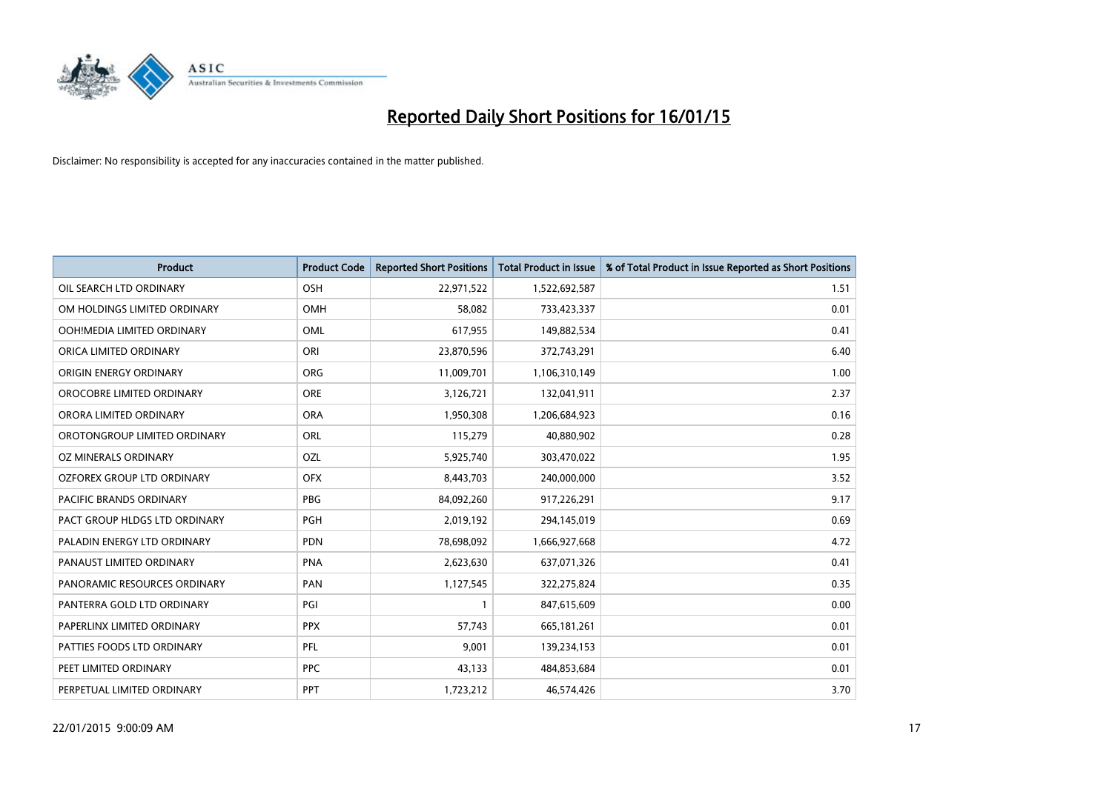

| <b>Product</b>                | <b>Product Code</b> | <b>Reported Short Positions</b> | <b>Total Product in Issue</b> | % of Total Product in Issue Reported as Short Positions |
|-------------------------------|---------------------|---------------------------------|-------------------------------|---------------------------------------------------------|
| OIL SEARCH LTD ORDINARY       | OSH                 | 22,971,522                      | 1,522,692,587                 | 1.51                                                    |
| OM HOLDINGS LIMITED ORDINARY  | OMH                 | 58,082                          | 733,423,337                   | 0.01                                                    |
| OOH!MEDIA LIMITED ORDINARY    | <b>OML</b>          | 617,955                         | 149,882,534                   | 0.41                                                    |
| ORICA LIMITED ORDINARY        | ORI                 | 23,870,596                      | 372,743,291                   | 6.40                                                    |
| ORIGIN ENERGY ORDINARY        | ORG                 | 11,009,701                      | 1,106,310,149                 | 1.00                                                    |
| OROCOBRE LIMITED ORDINARY     | <b>ORE</b>          | 3,126,721                       | 132,041,911                   | 2.37                                                    |
| ORORA LIMITED ORDINARY        | <b>ORA</b>          | 1,950,308                       | 1,206,684,923                 | 0.16                                                    |
| OROTONGROUP LIMITED ORDINARY  | <b>ORL</b>          | 115,279                         | 40,880,902                    | 0.28                                                    |
| OZ MINERALS ORDINARY          | OZL                 | 5,925,740                       | 303,470,022                   | 1.95                                                    |
| OZFOREX GROUP LTD ORDINARY    | <b>OFX</b>          | 8,443,703                       | 240,000,000                   | 3.52                                                    |
| PACIFIC BRANDS ORDINARY       | PBG                 | 84,092,260                      | 917,226,291                   | 9.17                                                    |
| PACT GROUP HLDGS LTD ORDINARY | <b>PGH</b>          | 2,019,192                       | 294,145,019                   | 0.69                                                    |
| PALADIN ENERGY LTD ORDINARY   | <b>PDN</b>          | 78,698,092                      | 1,666,927,668                 | 4.72                                                    |
| PANAUST LIMITED ORDINARY      | <b>PNA</b>          | 2,623,630                       | 637,071,326                   | 0.41                                                    |
| PANORAMIC RESOURCES ORDINARY  | PAN                 | 1,127,545                       | 322,275,824                   | 0.35                                                    |
| PANTERRA GOLD LTD ORDINARY    | PGI                 |                                 | 847,615,609                   | 0.00                                                    |
| PAPERLINX LIMITED ORDINARY    | <b>PPX</b>          | 57,743                          | 665,181,261                   | 0.01                                                    |
| PATTIES FOODS LTD ORDINARY    | PFL                 | 9,001                           | 139,234,153                   | 0.01                                                    |
| PEET LIMITED ORDINARY         | <b>PPC</b>          | 43,133                          | 484,853,684                   | 0.01                                                    |
| PERPETUAL LIMITED ORDINARY    | PPT                 | 1,723,212                       | 46,574,426                    | 3.70                                                    |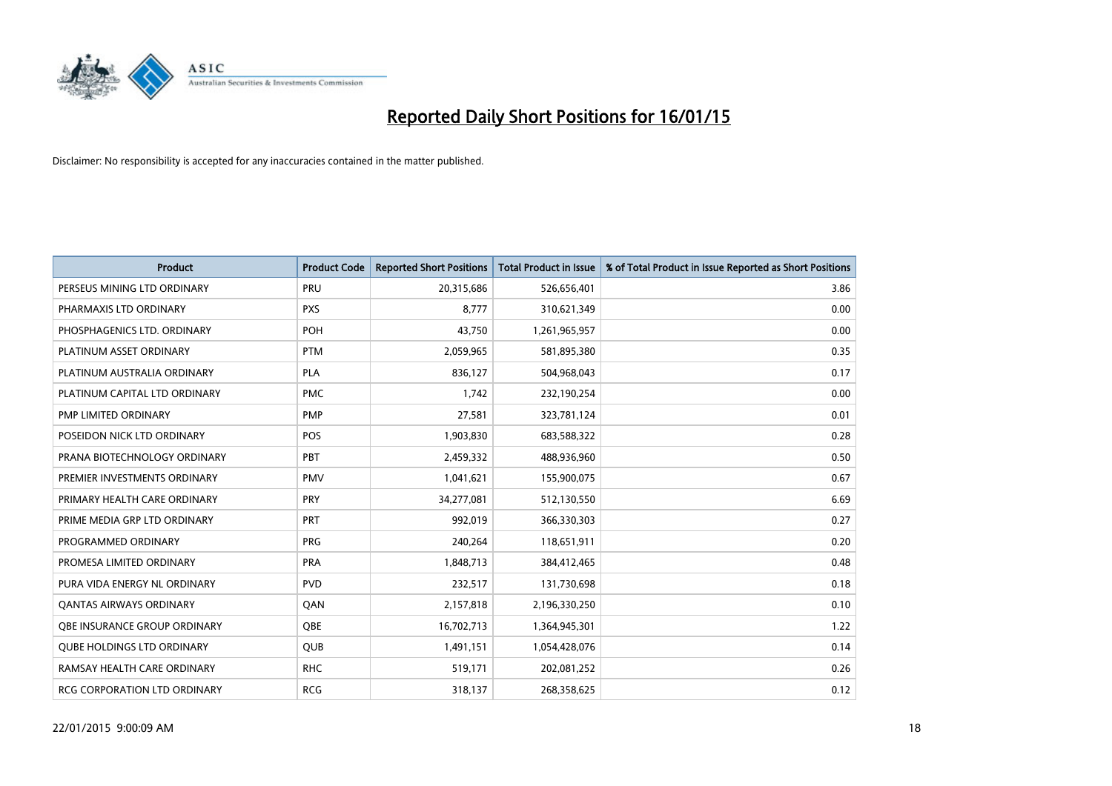

| <b>Product</b>                    | <b>Product Code</b> | <b>Reported Short Positions</b> | <b>Total Product in Issue</b> | % of Total Product in Issue Reported as Short Positions |
|-----------------------------------|---------------------|---------------------------------|-------------------------------|---------------------------------------------------------|
| PERSEUS MINING LTD ORDINARY       | PRU                 | 20,315,686                      | 526,656,401                   | 3.86                                                    |
| PHARMAXIS LTD ORDINARY            | <b>PXS</b>          | 8,777                           | 310,621,349                   | 0.00                                                    |
| PHOSPHAGENICS LTD. ORDINARY       | <b>POH</b>          | 43,750                          | 1,261,965,957                 | 0.00                                                    |
| PLATINUM ASSET ORDINARY           | <b>PTM</b>          | 2,059,965                       | 581,895,380                   | 0.35                                                    |
| PLATINUM AUSTRALIA ORDINARY       | <b>PLA</b>          | 836,127                         | 504,968,043                   | 0.17                                                    |
| PLATINUM CAPITAL LTD ORDINARY     | <b>PMC</b>          | 1,742                           | 232,190,254                   | 0.00                                                    |
| PMP LIMITED ORDINARY              | <b>PMP</b>          | 27,581                          | 323,781,124                   | 0.01                                                    |
| POSEIDON NICK LTD ORDINARY        | <b>POS</b>          | 1,903,830                       | 683,588,322                   | 0.28                                                    |
| PRANA BIOTECHNOLOGY ORDINARY      | <b>PBT</b>          | 2,459,332                       | 488,936,960                   | 0.50                                                    |
| PREMIER INVESTMENTS ORDINARY      | <b>PMV</b>          | 1,041,621                       | 155,900,075                   | 0.67                                                    |
| PRIMARY HEALTH CARE ORDINARY      | <b>PRY</b>          | 34,277,081                      | 512,130,550                   | 6.69                                                    |
| PRIME MEDIA GRP LTD ORDINARY      | <b>PRT</b>          | 992,019                         | 366,330,303                   | 0.27                                                    |
| PROGRAMMED ORDINARY               | <b>PRG</b>          | 240,264                         | 118,651,911                   | 0.20                                                    |
| PROMESA LIMITED ORDINARY          | <b>PRA</b>          | 1,848,713                       | 384,412,465                   | 0.48                                                    |
| PURA VIDA ENERGY NL ORDINARY      | <b>PVD</b>          | 232,517                         | 131,730,698                   | 0.18                                                    |
| <b>QANTAS AIRWAYS ORDINARY</b>    | QAN                 | 2,157,818                       | 2,196,330,250                 | 0.10                                                    |
| OBE INSURANCE GROUP ORDINARY      | QBE                 | 16,702,713                      | 1,364,945,301                 | 1.22                                                    |
| <b>OUBE HOLDINGS LTD ORDINARY</b> | <b>QUB</b>          | 1,491,151                       | 1,054,428,076                 | 0.14                                                    |
| RAMSAY HEALTH CARE ORDINARY       | <b>RHC</b>          | 519,171                         | 202,081,252                   | 0.26                                                    |
| RCG CORPORATION LTD ORDINARY      | <b>RCG</b>          | 318,137                         | 268,358,625                   | 0.12                                                    |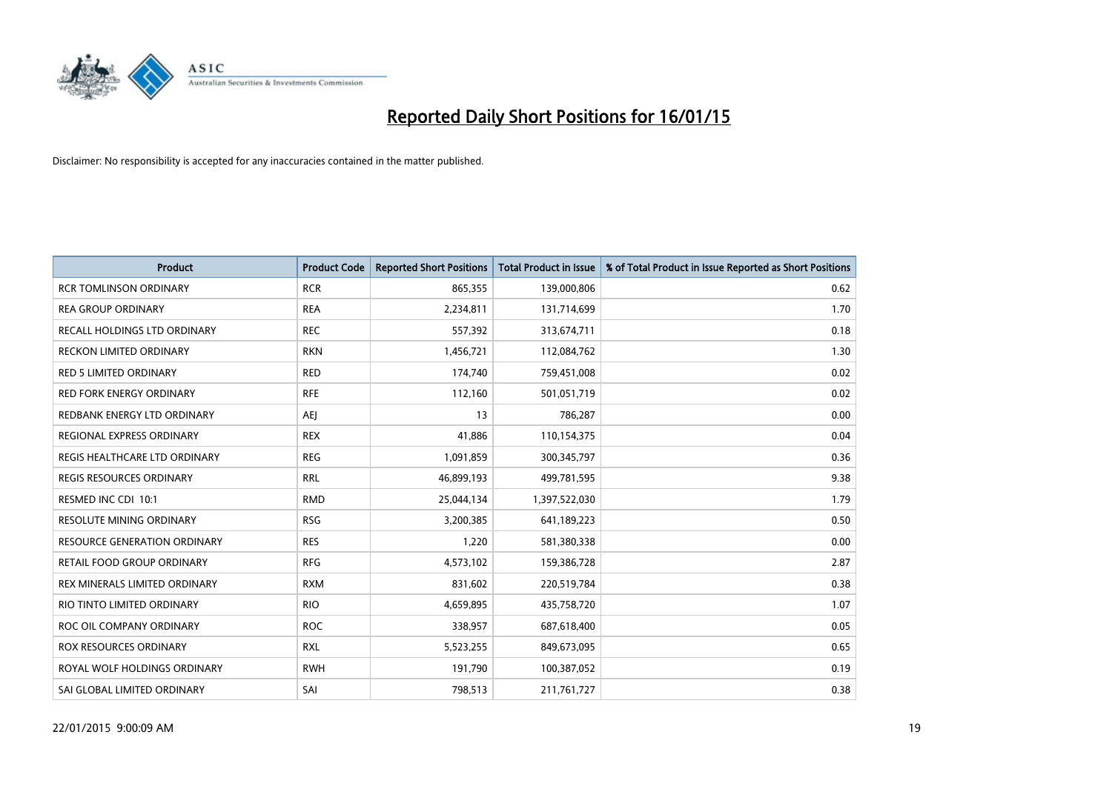

| <b>Product</b>                    | <b>Product Code</b> | <b>Reported Short Positions</b> | <b>Total Product in Issue</b> | % of Total Product in Issue Reported as Short Positions |
|-----------------------------------|---------------------|---------------------------------|-------------------------------|---------------------------------------------------------|
| <b>RCR TOMLINSON ORDINARY</b>     | <b>RCR</b>          | 865,355                         | 139,000,806                   | 0.62                                                    |
| <b>REA GROUP ORDINARY</b>         | <b>REA</b>          | 2,234,811                       | 131,714,699                   | 1.70                                                    |
| RECALL HOLDINGS LTD ORDINARY      | <b>REC</b>          | 557,392                         | 313,674,711                   | 0.18                                                    |
| RECKON LIMITED ORDINARY           | <b>RKN</b>          | 1,456,721                       | 112,084,762                   | 1.30                                                    |
| <b>RED 5 LIMITED ORDINARY</b>     | <b>RED</b>          | 174,740                         | 759,451,008                   | 0.02                                                    |
| <b>RED FORK ENERGY ORDINARY</b>   | <b>RFE</b>          | 112,160                         | 501,051,719                   | 0.02                                                    |
| REDBANK ENERGY LTD ORDINARY       | AEJ                 | 13                              | 786,287                       | 0.00                                                    |
| REGIONAL EXPRESS ORDINARY         | <b>REX</b>          | 41,886                          | 110,154,375                   | 0.04                                                    |
| REGIS HEALTHCARE LTD ORDINARY     | <b>REG</b>          | 1,091,859                       | 300, 345, 797                 | 0.36                                                    |
| <b>REGIS RESOURCES ORDINARY</b>   | <b>RRL</b>          | 46,899,193                      | 499,781,595                   | 9.38                                                    |
| RESMED INC CDI 10:1               | <b>RMD</b>          | 25,044,134                      | 1,397,522,030                 | 1.79                                                    |
| <b>RESOLUTE MINING ORDINARY</b>   | <b>RSG</b>          | 3,200,385                       | 641,189,223                   | 0.50                                                    |
| RESOURCE GENERATION ORDINARY      | <b>RES</b>          | 1,220                           | 581,380,338                   | 0.00                                                    |
| <b>RETAIL FOOD GROUP ORDINARY</b> | <b>RFG</b>          | 4,573,102                       | 159,386,728                   | 2.87                                                    |
| REX MINERALS LIMITED ORDINARY     | <b>RXM</b>          | 831,602                         | 220,519,784                   | 0.38                                                    |
| RIO TINTO LIMITED ORDINARY        | <b>RIO</b>          | 4,659,895                       | 435,758,720                   | 1.07                                                    |
| ROC OIL COMPANY ORDINARY          | <b>ROC</b>          | 338,957                         | 687,618,400                   | 0.05                                                    |
| ROX RESOURCES ORDINARY            | <b>RXL</b>          | 5,523,255                       | 849,673,095                   | 0.65                                                    |
| ROYAL WOLF HOLDINGS ORDINARY      | <b>RWH</b>          | 191,790                         | 100,387,052                   | 0.19                                                    |
| SAI GLOBAL LIMITED ORDINARY       | SAI                 | 798,513                         | 211,761,727                   | 0.38                                                    |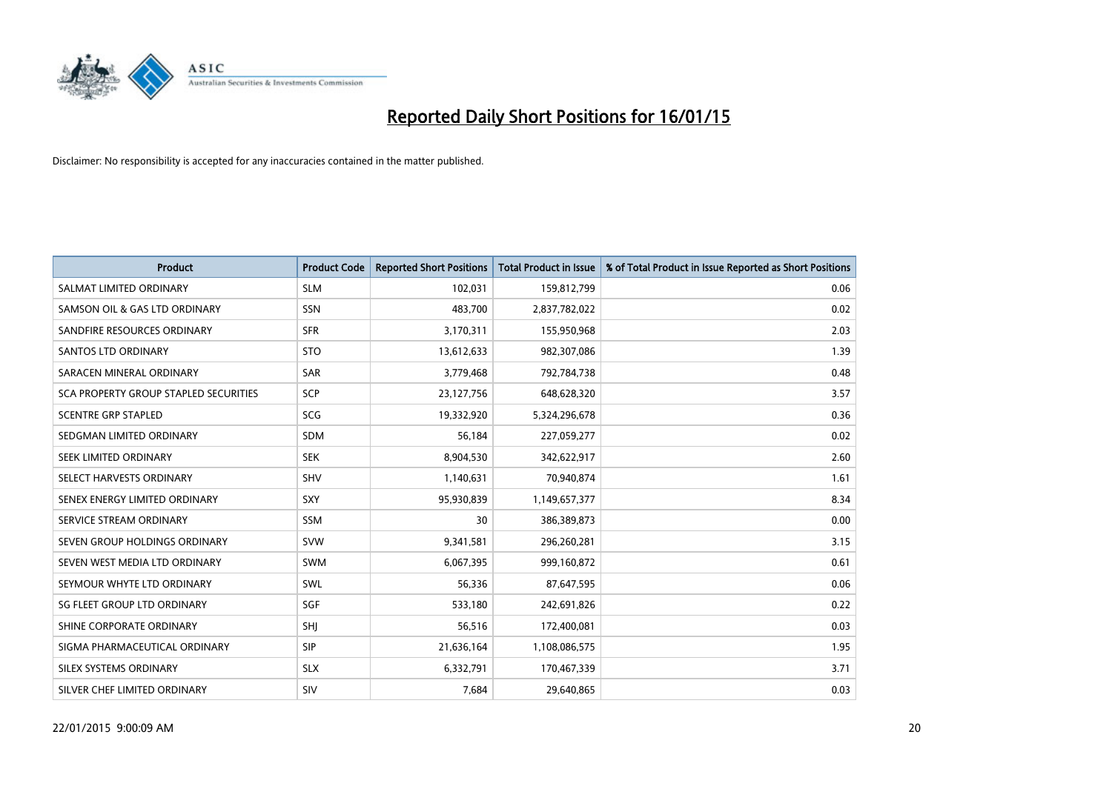

| <b>Product</b>                        | <b>Product Code</b> | <b>Reported Short Positions</b> | <b>Total Product in Issue</b> | % of Total Product in Issue Reported as Short Positions |
|---------------------------------------|---------------------|---------------------------------|-------------------------------|---------------------------------------------------------|
| SALMAT LIMITED ORDINARY               | <b>SLM</b>          | 102,031                         | 159,812,799                   | 0.06                                                    |
| SAMSON OIL & GAS LTD ORDINARY         | <b>SSN</b>          | 483,700                         | 2,837,782,022                 | 0.02                                                    |
| SANDFIRE RESOURCES ORDINARY           | <b>SFR</b>          | 3,170,311                       | 155,950,968                   | 2.03                                                    |
| SANTOS LTD ORDINARY                   | <b>STO</b>          | 13,612,633                      | 982,307,086                   | 1.39                                                    |
| SARACEN MINERAL ORDINARY              | SAR                 | 3,779,468                       | 792,784,738                   | 0.48                                                    |
| SCA PROPERTY GROUP STAPLED SECURITIES | SCP                 | 23,127,756                      | 648,628,320                   | 3.57                                                    |
| <b>SCENTRE GRP STAPLED</b>            | SCG                 | 19,332,920                      | 5,324,296,678                 | 0.36                                                    |
| SEDGMAN LIMITED ORDINARY              | SDM                 | 56,184                          | 227,059,277                   | 0.02                                                    |
| SEEK LIMITED ORDINARY                 | <b>SEK</b>          | 8,904,530                       | 342,622,917                   | 2.60                                                    |
| SELECT HARVESTS ORDINARY              | SHV                 | 1,140,631                       | 70,940,874                    | 1.61                                                    |
| SENEX ENERGY LIMITED ORDINARY         | <b>SXY</b>          | 95,930,839                      | 1,149,657,377                 | 8.34                                                    |
| SERVICE STREAM ORDINARY               | SSM                 | 30                              | 386,389,873                   | 0.00                                                    |
| SEVEN GROUP HOLDINGS ORDINARY         | <b>SVW</b>          | 9,341,581                       | 296,260,281                   | 3.15                                                    |
| SEVEN WEST MEDIA LTD ORDINARY         | <b>SWM</b>          | 6,067,395                       | 999,160,872                   | 0.61                                                    |
| SEYMOUR WHYTE LTD ORDINARY            | SWL                 | 56,336                          | 87,647,595                    | 0.06                                                    |
| SG FLEET GROUP LTD ORDINARY           | SGF                 | 533,180                         | 242,691,826                   | 0.22                                                    |
| SHINE CORPORATE ORDINARY              | SHJ                 | 56,516                          | 172,400,081                   | 0.03                                                    |
| SIGMA PHARMACEUTICAL ORDINARY         | <b>SIP</b>          | 21,636,164                      | 1,108,086,575                 | 1.95                                                    |
| SILEX SYSTEMS ORDINARY                | <b>SLX</b>          | 6,332,791                       | 170,467,339                   | 3.71                                                    |
| SILVER CHEF LIMITED ORDINARY          | <b>SIV</b>          | 7,684                           | 29,640,865                    | 0.03                                                    |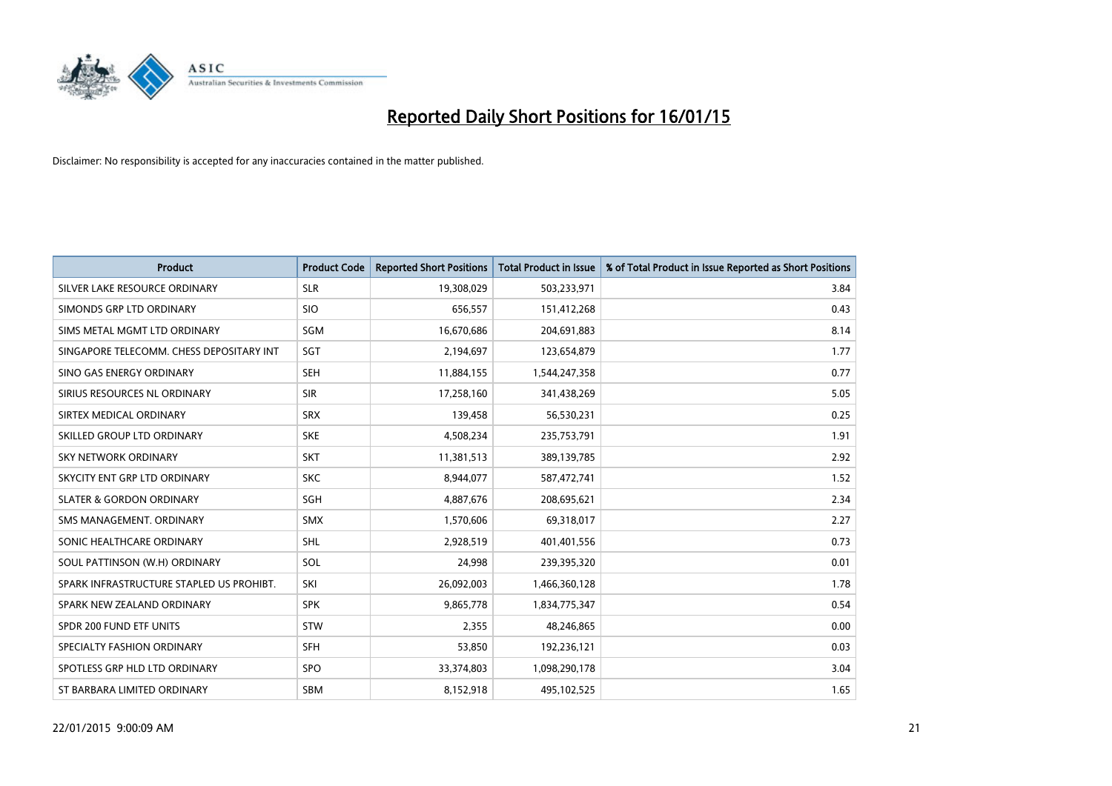

| <b>Product</b>                           | <b>Product Code</b> | <b>Reported Short Positions</b> | <b>Total Product in Issue</b> | % of Total Product in Issue Reported as Short Positions |
|------------------------------------------|---------------------|---------------------------------|-------------------------------|---------------------------------------------------------|
| SILVER LAKE RESOURCE ORDINARY            | <b>SLR</b>          | 19,308,029                      | 503,233,971                   | 3.84                                                    |
| SIMONDS GRP LTD ORDINARY                 | <b>SIO</b>          | 656,557                         | 151,412,268                   | 0.43                                                    |
| SIMS METAL MGMT LTD ORDINARY             | SGM                 | 16,670,686                      | 204,691,883                   | 8.14                                                    |
| SINGAPORE TELECOMM. CHESS DEPOSITARY INT | SGT                 | 2,194,697                       | 123,654,879                   | 1.77                                                    |
| SINO GAS ENERGY ORDINARY                 | <b>SEH</b>          | 11,884,155                      | 1,544,247,358                 | 0.77                                                    |
| SIRIUS RESOURCES NL ORDINARY             | <b>SIR</b>          | 17,258,160                      | 341,438,269                   | 5.05                                                    |
| SIRTEX MEDICAL ORDINARY                  | <b>SRX</b>          | 139,458                         | 56,530,231                    | 0.25                                                    |
| SKILLED GROUP LTD ORDINARY               | <b>SKE</b>          | 4,508,234                       | 235,753,791                   | 1.91                                                    |
| <b>SKY NETWORK ORDINARY</b>              | <b>SKT</b>          | 11,381,513                      | 389,139,785                   | 2.92                                                    |
| SKYCITY ENT GRP LTD ORDINARY             | <b>SKC</b>          | 8,944,077                       | 587,472,741                   | 1.52                                                    |
| <b>SLATER &amp; GORDON ORDINARY</b>      | SGH                 | 4,887,676                       | 208,695,621                   | 2.34                                                    |
| SMS MANAGEMENT, ORDINARY                 | <b>SMX</b>          | 1,570,606                       | 69,318,017                    | 2.27                                                    |
| SONIC HEALTHCARE ORDINARY                | SHL                 | 2,928,519                       | 401,401,556                   | 0.73                                                    |
| SOUL PATTINSON (W.H) ORDINARY            | SOL                 | 24,998                          | 239,395,320                   | 0.01                                                    |
| SPARK INFRASTRUCTURE STAPLED US PROHIBT. | SKI                 | 26,092,003                      | 1,466,360,128                 | 1.78                                                    |
| SPARK NEW ZEALAND ORDINARY               | <b>SPK</b>          | 9,865,778                       | 1,834,775,347                 | 0.54                                                    |
| SPDR 200 FUND ETF UNITS                  | <b>STW</b>          | 2,355                           | 48,246,865                    | 0.00                                                    |
| SPECIALTY FASHION ORDINARY               | <b>SFH</b>          | 53,850                          | 192,236,121                   | 0.03                                                    |
| SPOTLESS GRP HLD LTD ORDINARY            | <b>SPO</b>          | 33,374,803                      | 1,098,290,178                 | 3.04                                                    |
| ST BARBARA LIMITED ORDINARY              | <b>SBM</b>          | 8,152,918                       | 495,102,525                   | 1.65                                                    |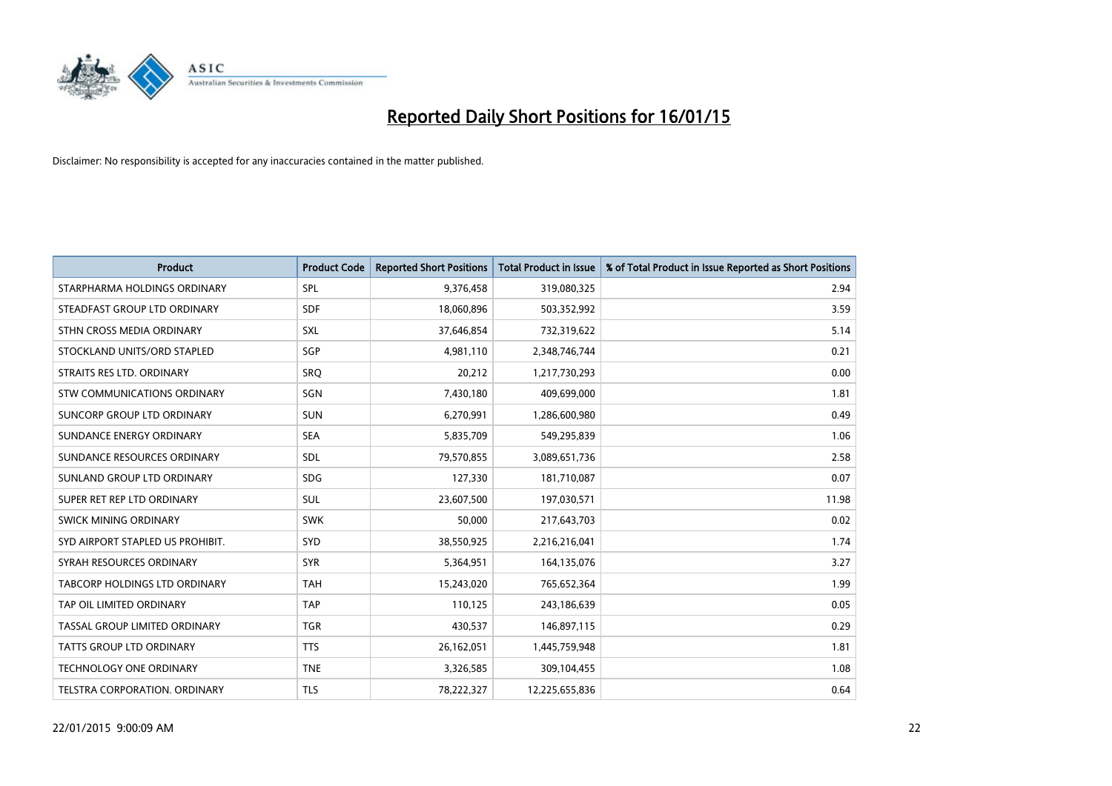

| <b>Product</b>                       | <b>Product Code</b> | <b>Reported Short Positions</b> | <b>Total Product in Issue</b> | % of Total Product in Issue Reported as Short Positions |
|--------------------------------------|---------------------|---------------------------------|-------------------------------|---------------------------------------------------------|
| STARPHARMA HOLDINGS ORDINARY         | <b>SPL</b>          | 9,376,458                       | 319,080,325                   | 2.94                                                    |
| STEADFAST GROUP LTD ORDINARY         | <b>SDF</b>          | 18,060,896                      | 503,352,992                   | 3.59                                                    |
| STHN CROSS MEDIA ORDINARY            | <b>SXL</b>          | 37,646,854                      | 732,319,622                   | 5.14                                                    |
| STOCKLAND UNITS/ORD STAPLED          | SGP                 | 4,981,110                       | 2,348,746,744                 | 0.21                                                    |
| STRAITS RES LTD. ORDINARY            | <b>SRO</b>          | 20,212                          | 1,217,730,293                 | 0.00                                                    |
| STW COMMUNICATIONS ORDINARY          | SGN                 | 7,430,180                       | 409,699,000                   | 1.81                                                    |
| SUNCORP GROUP LTD ORDINARY           | SUN                 | 6,270,991                       | 1,286,600,980                 | 0.49                                                    |
| SUNDANCE ENERGY ORDINARY             | <b>SEA</b>          | 5,835,709                       | 549,295,839                   | 1.06                                                    |
| SUNDANCE RESOURCES ORDINARY          | SDL                 | 79,570,855                      | 3,089,651,736                 | 2.58                                                    |
| SUNLAND GROUP LTD ORDINARY           | <b>SDG</b>          | 127,330                         | 181,710,087                   | 0.07                                                    |
| SUPER RET REP LTD ORDINARY           | <b>SUL</b>          | 23,607,500                      | 197,030,571                   | 11.98                                                   |
| <b>SWICK MINING ORDINARY</b>         | <b>SWK</b>          | 50,000                          | 217,643,703                   | 0.02                                                    |
| SYD AIRPORT STAPLED US PROHIBIT.     | <b>SYD</b>          | 38,550,925                      | 2,216,216,041                 | 1.74                                                    |
| SYRAH RESOURCES ORDINARY             | <b>SYR</b>          | 5,364,951                       | 164,135,076                   | 3.27                                                    |
| <b>TABCORP HOLDINGS LTD ORDINARY</b> | <b>TAH</b>          | 15,243,020                      | 765,652,364                   | 1.99                                                    |
| TAP OIL LIMITED ORDINARY             | <b>TAP</b>          | 110,125                         | 243,186,639                   | 0.05                                                    |
| TASSAL GROUP LIMITED ORDINARY        | <b>TGR</b>          | 430,537                         | 146,897,115                   | 0.29                                                    |
| <b>TATTS GROUP LTD ORDINARY</b>      | <b>TTS</b>          | 26,162,051                      | 1,445,759,948                 | 1.81                                                    |
| <b>TECHNOLOGY ONE ORDINARY</b>       | <b>TNE</b>          | 3,326,585                       | 309,104,455                   | 1.08                                                    |
| TELSTRA CORPORATION, ORDINARY        | TLS                 | 78,222,327                      | 12,225,655,836                | 0.64                                                    |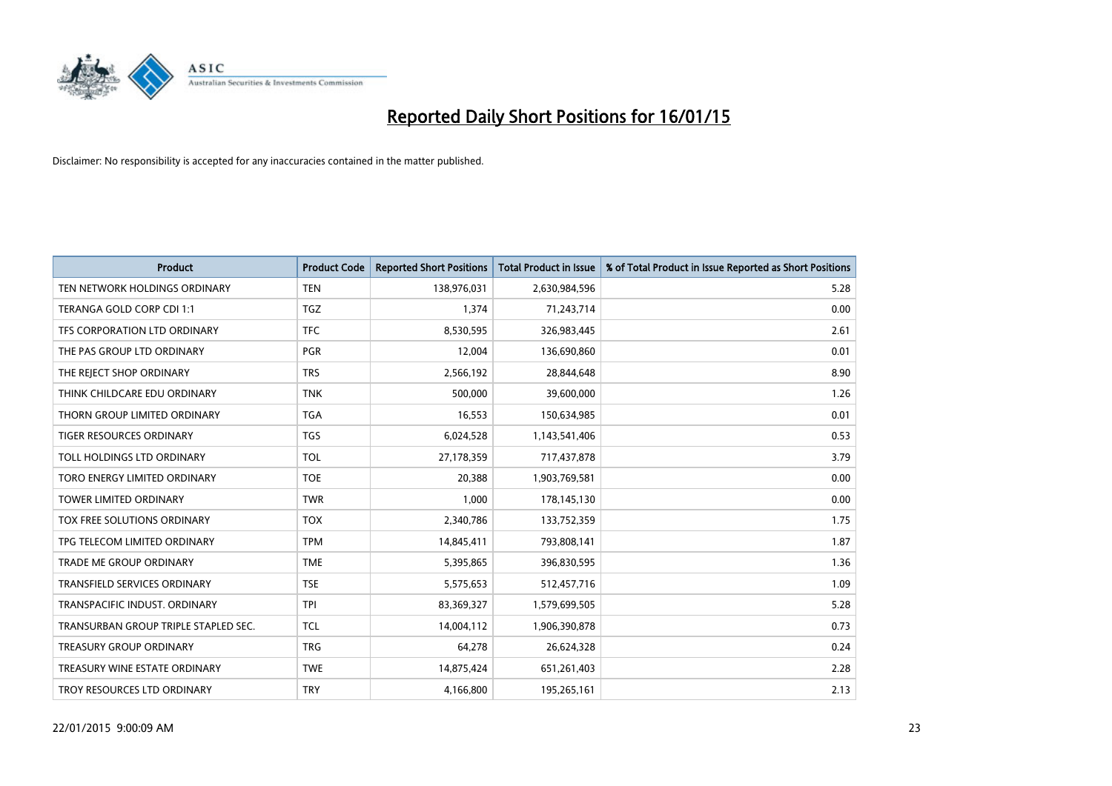

| <b>Product</b>                       | <b>Product Code</b> | <b>Reported Short Positions</b> | <b>Total Product in Issue</b> | % of Total Product in Issue Reported as Short Positions |
|--------------------------------------|---------------------|---------------------------------|-------------------------------|---------------------------------------------------------|
| TEN NETWORK HOLDINGS ORDINARY        | <b>TEN</b>          | 138,976,031                     | 2,630,984,596                 | 5.28                                                    |
| TERANGA GOLD CORP CDI 1:1            | <b>TGZ</b>          | 1,374                           | 71,243,714                    | 0.00                                                    |
| TFS CORPORATION LTD ORDINARY         | <b>TFC</b>          | 8,530,595                       | 326,983,445                   | 2.61                                                    |
| THE PAS GROUP LTD ORDINARY           | <b>PGR</b>          | 12,004                          | 136,690,860                   | 0.01                                                    |
| THE REJECT SHOP ORDINARY             | <b>TRS</b>          | 2,566,192                       | 28,844,648                    | 8.90                                                    |
| THINK CHILDCARE EDU ORDINARY         | <b>TNK</b>          | 500,000                         | 39,600,000                    | 1.26                                                    |
| THORN GROUP LIMITED ORDINARY         | <b>TGA</b>          | 16,553                          | 150,634,985                   | 0.01                                                    |
| TIGER RESOURCES ORDINARY             | TGS                 | 6,024,528                       | 1,143,541,406                 | 0.53                                                    |
| TOLL HOLDINGS LTD ORDINARY           | <b>TOL</b>          | 27,178,359                      | 717,437,878                   | 3.79                                                    |
| TORO ENERGY LIMITED ORDINARY         | <b>TOE</b>          | 20,388                          | 1,903,769,581                 | 0.00                                                    |
| TOWER LIMITED ORDINARY               | <b>TWR</b>          | 1,000                           | 178,145,130                   | 0.00                                                    |
| <b>TOX FREE SOLUTIONS ORDINARY</b>   | <b>TOX</b>          | 2,340,786                       | 133,752,359                   | 1.75                                                    |
| TPG TELECOM LIMITED ORDINARY         | <b>TPM</b>          | 14,845,411                      | 793,808,141                   | 1.87                                                    |
| <b>TRADE ME GROUP ORDINARY</b>       | <b>TME</b>          | 5,395,865                       | 396,830,595                   | 1.36                                                    |
| TRANSFIELD SERVICES ORDINARY         | <b>TSE</b>          | 5,575,653                       | 512,457,716                   | 1.09                                                    |
| TRANSPACIFIC INDUST. ORDINARY        | <b>TPI</b>          | 83,369,327                      | 1,579,699,505                 | 5.28                                                    |
| TRANSURBAN GROUP TRIPLE STAPLED SEC. | <b>TCL</b>          | 14,004,112                      | 1,906,390,878                 | 0.73                                                    |
| <b>TREASURY GROUP ORDINARY</b>       | <b>TRG</b>          | 64,278                          | 26,624,328                    | 0.24                                                    |
| TREASURY WINE ESTATE ORDINARY        | <b>TWE</b>          | 14,875,424                      | 651,261,403                   | 2.28                                                    |
| TROY RESOURCES LTD ORDINARY          | <b>TRY</b>          | 4,166,800                       | 195,265,161                   | 2.13                                                    |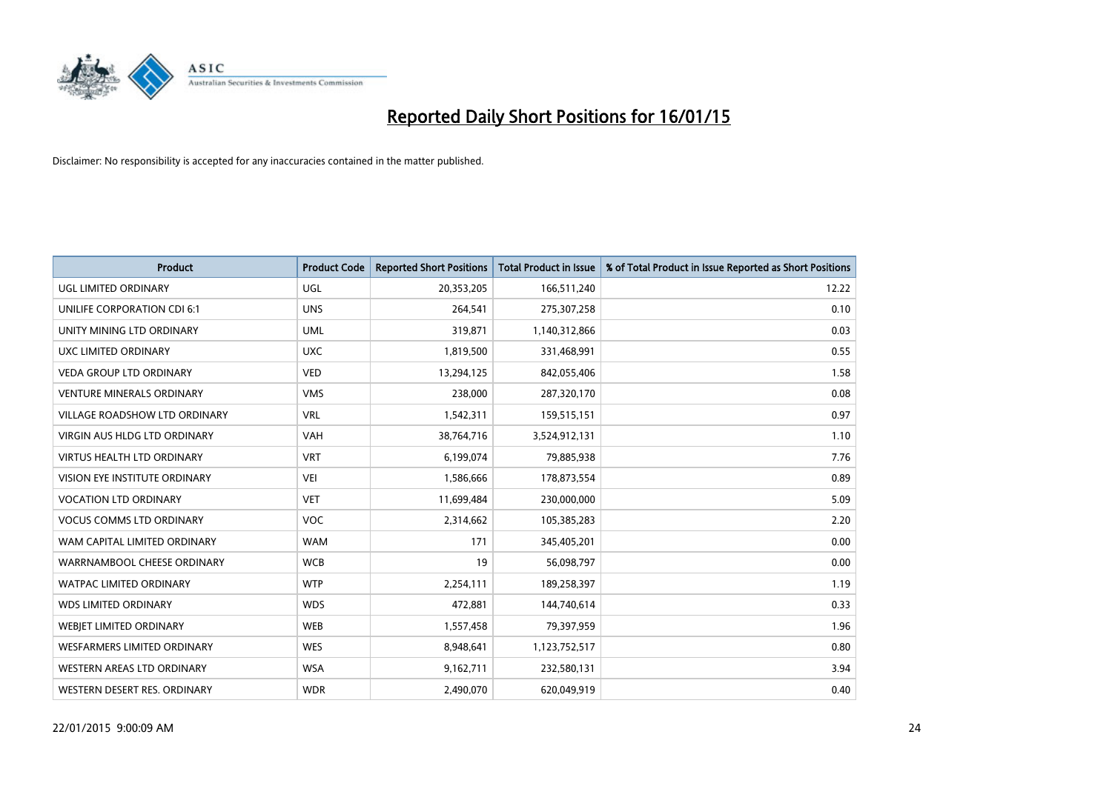

| <b>Product</b>                       | <b>Product Code</b> | <b>Reported Short Positions</b> | <b>Total Product in Issue</b> | % of Total Product in Issue Reported as Short Positions |
|--------------------------------------|---------------------|---------------------------------|-------------------------------|---------------------------------------------------------|
| <b>UGL LIMITED ORDINARY</b>          | UGL                 | 20,353,205                      | 166,511,240                   | 12.22                                                   |
| UNILIFE CORPORATION CDI 6:1          | <b>UNS</b>          | 264,541                         | 275,307,258                   | 0.10                                                    |
| UNITY MINING LTD ORDINARY            | <b>UML</b>          | 319,871                         | 1,140,312,866                 | 0.03                                                    |
| <b>UXC LIMITED ORDINARY</b>          | <b>UXC</b>          | 1,819,500                       | 331,468,991                   | 0.55                                                    |
| VEDA GROUP LTD ORDINARY              | <b>VED</b>          | 13,294,125                      | 842,055,406                   | 1.58                                                    |
| <b>VENTURE MINERALS ORDINARY</b>     | <b>VMS</b>          | 238,000                         | 287,320,170                   | 0.08                                                    |
| <b>VILLAGE ROADSHOW LTD ORDINARY</b> | <b>VRL</b>          | 1,542,311                       | 159,515,151                   | 0.97                                                    |
| <b>VIRGIN AUS HLDG LTD ORDINARY</b>  | <b>VAH</b>          | 38,764,716                      | 3,524,912,131                 | 1.10                                                    |
| <b>VIRTUS HEALTH LTD ORDINARY</b>    | <b>VRT</b>          | 6,199,074                       | 79,885,938                    | 7.76                                                    |
| VISION EYE INSTITUTE ORDINARY        | <b>VEI</b>          | 1,586,666                       | 178,873,554                   | 0.89                                                    |
| <b>VOCATION LTD ORDINARY</b>         | <b>VET</b>          | 11,699,484                      | 230,000,000                   | 5.09                                                    |
| <b>VOCUS COMMS LTD ORDINARY</b>      | <b>VOC</b>          | 2,314,662                       | 105,385,283                   | 2.20                                                    |
| WAM CAPITAL LIMITED ORDINARY         | <b>WAM</b>          | 171                             | 345,405,201                   | 0.00                                                    |
| WARRNAMBOOL CHEESE ORDINARY          | <b>WCB</b>          | 19                              | 56,098,797                    | 0.00                                                    |
| <b>WATPAC LIMITED ORDINARY</b>       | <b>WTP</b>          | 2,254,111                       | 189,258,397                   | 1.19                                                    |
| <b>WDS LIMITED ORDINARY</b>          | <b>WDS</b>          | 472,881                         | 144,740,614                   | 0.33                                                    |
| WEBJET LIMITED ORDINARY              | <b>WEB</b>          | 1,557,458                       | 79,397,959                    | 1.96                                                    |
| <b>WESFARMERS LIMITED ORDINARY</b>   | <b>WES</b>          | 8,948,641                       | 1,123,752,517                 | 0.80                                                    |
| WESTERN AREAS LTD ORDINARY           | <b>WSA</b>          | 9,162,711                       | 232,580,131                   | 3.94                                                    |
| WESTERN DESERT RES. ORDINARY         | <b>WDR</b>          | 2,490,070                       | 620,049,919                   | 0.40                                                    |